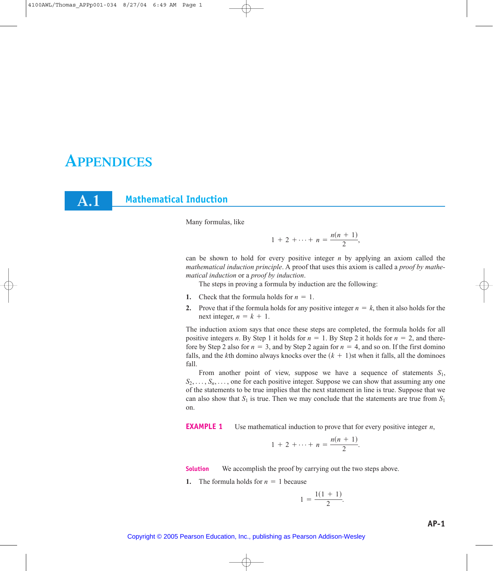# **APPENDICES**

**A.1**

**Mathematical Induction**

Many formulas, like

$$
1 + 2 + \cdots + n = \frac{n(n+1)}{2},
$$

can be shown to hold for every positive integer *n* by applying an axiom called the *mathematical induction principle*. A proof that uses this axiom is called a *proof by mathematical induction* or a *proof by induction*.

The steps in proving a formula by induction are the following:

- **1.** Check that the formula holds for  $n = 1$ .
- **2.** Prove that if the formula holds for any positive integer  $n = k$ , then it also holds for the next integer,  $n = k + 1$ .

The induction axiom says that once these steps are completed, the formula holds for all positive integers *n*. By Step 1 it holds for  $n = 1$ . By Step 2 it holds for  $n = 2$ , and therefore by Step 2 also for  $n = 3$ , and by Step 2 again for  $n = 4$ , and so on. If the first domino falls, and the *k*th domino always knocks over the  $(k + 1)$ st when it falls, all the dominoes fall.

From another point of view, suppose we have a sequence of statements  $S_1$ ,  $S_2, \ldots, S_n, \ldots$ , one for each positive integer. Suppose we can show that assuming any one of the statements to be true implies that the next statement in line is true. Suppose that we can also show that  $S_1$  is true. Then we may conclude that the statements are true from  $S_1$ on.

**EXAMPLE 1** Use mathematical induction to prove that for every positive integer *n*,

$$
1 + 2 + \cdots + n = \frac{n(n+1)}{2}.
$$

**Solution** We accomplish the proof by carrying out the two steps above.

**1.** The formula holds for  $n = 1$  because

$$
1 = \frac{1(1 + 1)}{2}.
$$

Copyright © 2005 Pearson Education, Inc., publishing as Pearson Addison-Wesley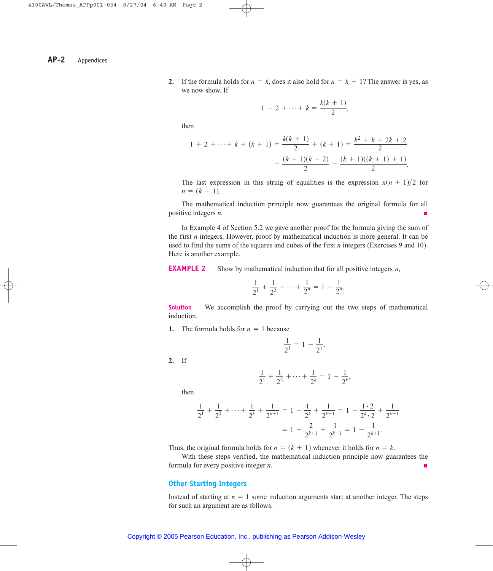**2.** If the formula holds for  $n = k$ , does it also hold for  $n = k + 1$ ? The answer is yes, as we now show. If

$$
1 + 2 + \cdots + k = \frac{k(k+1)}{2},
$$

then

$$
1 + 2 + \dots + k + (k + 1) = \frac{k(k + 1)}{2} + (k + 1) = \frac{k^2 + k + 2k + 2}{2}
$$

$$
= \frac{(k + 1)(k + 2)}{2} = \frac{(k + 1)((k + 1) + 1)}{2}.
$$

The last expression in this string of equalities is the expression  $n(n + 1)/2$  for  $n = (k + 1)$ .

The mathematical induction principle now guarantees the original formula for all positive integers *n*.

In Example 4 of Section 5.2 we gave another proof for the formula giving the sum of the first *n* integers. However, proof by mathematical induction is more general. It can be used to find the sums of the squares and cubes of the first *n* integers (Exercises 9 and 10). Here is another example.

**EXAMPLE 2** Show by mathematical induction that for all positive integers *n*,

$$
\frac{1}{2^1} + \frac{1}{2^2} + \cdots + \frac{1}{2^n} = 1 - \frac{1}{2^n}.
$$

**Solution** We accomplish the proof by carrying out the two steps of mathematical induction.

**1.** The formula holds for  $n = 1$  because

$$
\frac{1}{2^1} = 1 - \frac{1}{2^1}.
$$

**2.** If

$$
\frac{1}{2^1} + \frac{1}{2^2} + \dots + \frac{1}{2^k} = 1 - \frac{1}{2^k},
$$

then

$$
\frac{1}{2^1} + \frac{1}{2^2} + \dots + \frac{1}{2^k} + \frac{1}{2^{k+1}} = 1 - \frac{1}{2^k} + \frac{1}{2^{k+1}} = 1 - \frac{1 \cdot 2}{2^k \cdot 2} + \frac{1}{2^{k+1}}
$$

$$
= 1 - \frac{2}{2^{k+1}} + \frac{1}{2^{k+1}} = 1 - \frac{1}{2^{k+1}}.
$$

Thus, the original formula holds for  $n = (k + 1)$  whenever it holds for  $n = k$ .

With these steps verified, the mathematical induction principle now guarantees the formula for every positive integer *n*.

## **Other Starting Integers**

Instead of starting at  $n = 1$  some induction arguments start at another integer. The steps for such an argument are as follows.

#### Copyright © 2005 Pearson Education, Inc., publishing as Pearson Addison-Wesley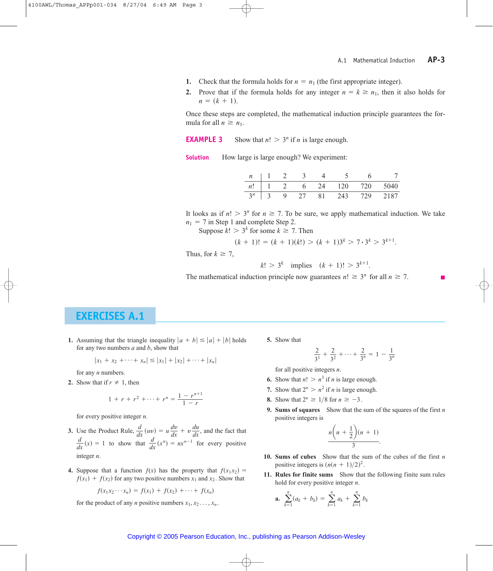- **1.** Check that the formula holds for  $n = n_1$  (the first appropriate integer).
- **2.** Prove that if the formula holds for any integer  $n = k \ge n_1$ , then it also holds for  $n = (k + 1)$ .

Once these steps are completed, the mathematical induction principle guarantees the formula for all  $n \geq n_1$ .

**EXAMPLE 3** Show that  $n! > 3^n$  if *n* is large enough.

**Solution** How large is large enough? We experiment:

| $\boldsymbol{n}$ |                       |  |    |     |     |      |
|------------------|-----------------------|--|----|-----|-----|------|
| n!               |                       |  | 24 | 120 | 720 | 5040 |
| $3^n$            | $\tilde{\phantom{a}}$ |  | 81 | 243 | 729 | 2187 |

It looks as if  $n! > 3^n$  for  $n \ge 7$ . To be sure, we apply mathematical induction. We take  $n_1 = 7$  in Step 1 and complete Step 2.

Suppose  $k! > 3^k$  for some  $k \ge 7$ . Then

$$
(k+1)! = (k+1)(k!) > (k+1)3^{k} > 7 \cdot 3^{k} > 3^{k+1}.
$$

Thus, for  $k \geq 7$ ,

 $k! > 3^k$  implies  $(k + 1)! > 3^{k+1}$ .

The mathematical induction principle now guarantees  $n! \geq 3^n$  for all  $n \geq 7$ .

# **EXERCISES A.1**

**1.** Assuming that the triangle inequality  $|a + b| \leq |a| + |b|$  holds **5.** Show that for any two numbers *a* and *b*, show that

$$
|x_1 + x_2 + \cdots + x_n| \le |x_1| + |x_2| + \cdots + |x_n|
$$

for any *n* numbers.

**2.** Show that if  $r \neq 1$ , then

$$
1 + r + r2 + \dots + rn = \frac{1 - r^{n+1}}{1 - r}
$$

for every positive integer *n*.

- **3.** Use the Product Rule,  $\frac{d}{dx}(uv) = u\frac{dv}{dx} + v\frac{du}{dx}$ , and the fact that  $\frac{d}{dx}(x) = 1$  to show that  $\frac{d}{dx}(x^n) = nx^{n-1}$  for every positive integer *n*.
- **4.** Suppose that a function  $f(x)$  has the property that  $f(x_1x_2) =$  $f(x_1) + f(x_2)$  for any two positive numbers  $x_1$  and  $x_2$ . Show that

$$
f(x_1x_2\cdots x_n) = f(x_1) + f(x_2) + \cdots + f(x_n)
$$

for the product of any *n* positive numbers  $x_1, x_2, \ldots, x_n$ .

$$
\frac{2}{3^1} + \frac{2}{3^2} + \cdots + \frac{2}{3^n} = 1 - \frac{1}{3^n}
$$

for all positive integers *n*.

- **6.** Show that  $n! > n^3$  if *n* is large enough.
- **7.** Show that  $2^n > n^2$  if *n* is large enough.
- **8.** Show that  $2^n \ge 1/8$  for  $n \ge -3$ .
- **9. Sums of squares** Show that the sum of the squares of the first *n* positive integers is

$$
\frac{n\left(n+\frac{1}{2}\right)(n+1)}{3}.
$$

- **10. Sums of cubes** Show that the sum of the cubes of the first *n* positive integers is  $(n(n + 1)/2)^2$ .
- **11. Rules for finite sums** Show that the following finite sum rules hold for every positive integer *n*.

**a.** 
$$
\sum_{k=1}^{n} (a_k + b_k) = \sum_{k=1}^{n} a_k + \sum_{k=1}^{n} b_k
$$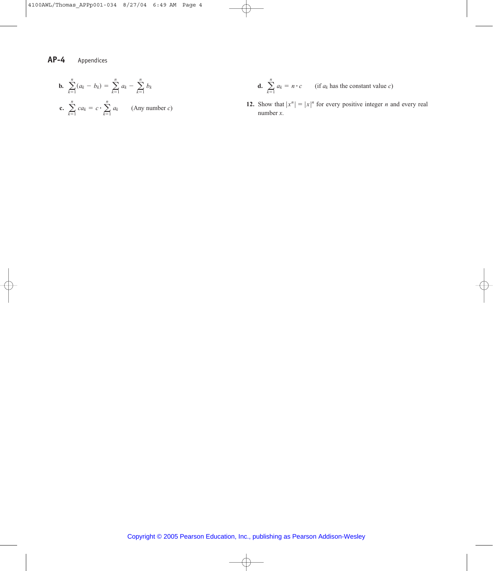**b.** 
$$
\sum_{k=1}^{n} (a_k - b_k) = \sum_{k=1}^{n} a_k - \sum_{k=1}^{n} b_k
$$
  
**c.** 
$$
\sum_{k=1}^{n} ca_k = c \cdot \sum_{k=1}^{n} a_k
$$
 (Any number *c*)

$$
b_k \qquad \qquad \mathbf{d.} \quad \sum_{k=1}^n a_k = n \cdot c \qquad \text{(if } a_k \text{ has the constant value } c\text{)}
$$

**12.** Show that  $|x^n| = |x|^n$  for every positive integer *n* and every real number *x*.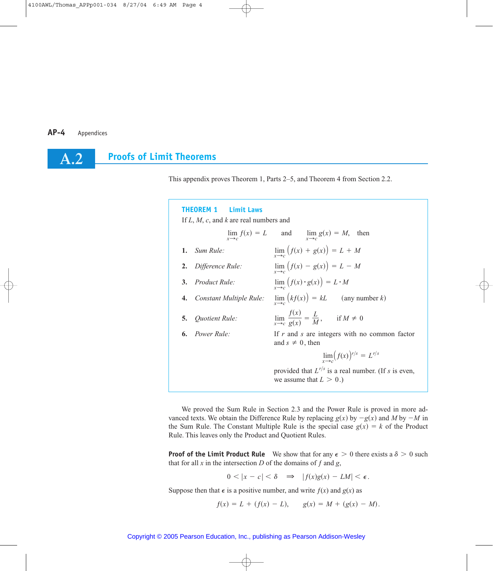**A.2**

# **Proofs of Limit Theorems**

This appendix proves Theorem 1, Parts 2–5, and Theorem 4 from Section 2.2.

#### **THEOREM 1 Limit Laws**

If *L*, *M*, *c*, and *k* are real numbers and

|                            | $\lim_{x \to c} f(x) = L$ and $\lim_{x \to c} g(x) = M$ , then                        |
|----------------------------|---------------------------------------------------------------------------------------|
| 1. Sum Rule:               | $\lim_{x\to c} (f(x) + g(x)) = L + M$                                                 |
| 2. Difference Rule:        | $\lim_{x\to c} (f(x) - g(x)) = L - M$                                                 |
| 3. Product Rule:           | $\lim_{x\to c} (f(x) \cdot g(x)) = L \cdot M$                                         |
| 4. Constant Multiple Rule: | $\lim_{x \to c} (kf(x)) = kL$ (any number k)                                          |
| 5. Quotient Rule:          | $\lim_{x \to c} \frac{f(x)}{g(x)} = \frac{L}{M}, \quad \text{if } M \neq 0$           |
| <b>6.</b> Power Rule:      | If $r$ and $s$ are integers with no common factor<br>and $s \neq 0$ , then            |
|                            | $\lim_{s \to \infty} (f(x))^{r/s} = L^{r/s}$                                          |
|                            | provided that $L^{r/s}$ is a real number. (If s is even,<br>we assume that $L > 0$ .) |
|                            |                                                                                       |

We proved the Sum Rule in Section 2.3 and the Power Rule is proved in more advanced texts. We obtain the Difference Rule by replacing  $g(x)$  by  $-g(x)$  and M by  $-M$  in the Sum Rule. The Constant Multiple Rule is the special case  $g(x) = k$  of the Product Rule. This leaves only the Product and Quotient Rules.

**Proof of the Limit Product Rule** We show that for any  $\epsilon > 0$  there exists a  $\delta > 0$  such that for all  $x$  in the intersection  $D$  of the domains of  $f$  and  $g$ ,

$$
0 < |x - c| < \delta \quad \Rightarrow \quad |f(x)g(x) - LM| < \epsilon.
$$

Suppose then that  $\epsilon$  is a positive number, and write  $f(x)$  and  $g(x)$  as

$$
f(x) = L + (f(x) - L), \qquad g(x) = M + (g(x) - M).
$$

#### Copyright © 2005 Pearson Education, Inc., publishing as Pearson Addison-Wesley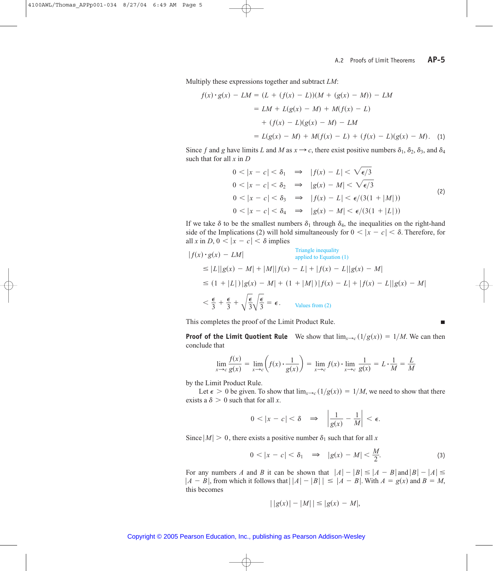п

Multiply these expressions together and subtract *LM*:

$$
f(x) \cdot g(x) - LM = (L + (f(x) - L))(M + (g(x) - M)) - LM
$$
  
= LM + L(g(x) - M) + M(f(x) - L)  
+ (f(x) - L)(g(x) - M) - LM  
= L(g(x) - M) + M(f(x) - L) + (f(x) - L)(g(x) - M). (1)

Since *f* and *g* have limits *L* and *M* as  $x \rightarrow c$ , there exist positive numbers  $\delta_1$ ,  $\delta_2$ ,  $\delta_3$ , and  $\delta_4$ such that for all *x* in *D*

$$
0 < |x - c| < \delta_1 \implies |f(x) - L| < \sqrt{\epsilon/3}
$$
\n
$$
0 < |x - c| < \delta_2 \implies |g(x) - M| < \sqrt{\epsilon/3}
$$
\n
$$
0 < |x - c| < \delta_3 \implies |f(x) - L| < \epsilon/(3(1 + |M|))
$$
\n
$$
0 < |x - c| < \delta_4 \implies |g(x) - M| < \epsilon/(3(1 + |L|))
$$
\n
$$
(2)
$$

If we take  $\delta$  to be the smallest numbers  $\delta_1$  through  $\delta_4$ , the inequalities on the right-hand side of the Implications (2) will hold simultaneously for  $0 < |x - c| < \delta$ . Therefore, for all *x* in *D*,  $0 < |x - c| < \delta$  implies

$$
|f(x) \cdot g(x) - LM|
$$
  
\n
$$
\leq |L||g(x) - M| + |M||f(x) - L| + |f(x) - L||g(x) - M|
$$
  
\n
$$
\leq (1 + |L|) |g(x) - M| + (1 + |M|) |f(x) - L| + |f(x) - L||g(x) - M|
$$
  
\n
$$
< \frac{\epsilon}{3} + \frac{\epsilon}{3} + \sqrt{\frac{\epsilon}{3}} \sqrt{\frac{\epsilon}{3}} = \epsilon.
$$
  
\n
$$
\text{Values from (2)}
$$

This completes the proof of the Limit Product Rule.

**Proof of the Limit Quotient Rule** We show that  $\lim_{x\to c} (1/g(x)) = 1/M$ . We can then conclude that

$$
\lim_{x \to c} \frac{f(x)}{g(x)} = \lim_{x \to c} \left( f(x) \cdot \frac{1}{g(x)} \right) = \lim_{x \to c} f(x) \cdot \lim_{x \to c} \frac{1}{g(x)} = L \cdot \frac{1}{M} = \frac{L}{M}
$$

by the Limit Product Rule.

Let  $\epsilon > 0$  be given. To show that  $\lim_{x \to c} (1/g(x)) = 1/M$ , we need to show that there exists a  $\delta > 0$  such that for all *x*.

$$
0 < |x - c| < \delta \quad \Rightarrow \quad \left| \frac{1}{g(x)} - \frac{1}{M} \right| < \epsilon.
$$

Since  $|M| > 0$ , there exists a positive number  $\delta_1$  such that for all *x* 

$$
0<|x-c|<\delta_1\quad\Rightarrow\quad |g(x)-M|<\frac{M}{2}.\tag{3}
$$

For any numbers *A* and *B* it can be shown that  $|A| - |B| \le |A - B|$  and  $|B| - |A| \le$  $|A - B|$ , from which it follows that  $|A| - |B|$   $|A - B|$ . With  $A = g(x)$  and  $B = M$ , this becomes

$$
| |g(x)| - |M| | \le |g(x) - M|,
$$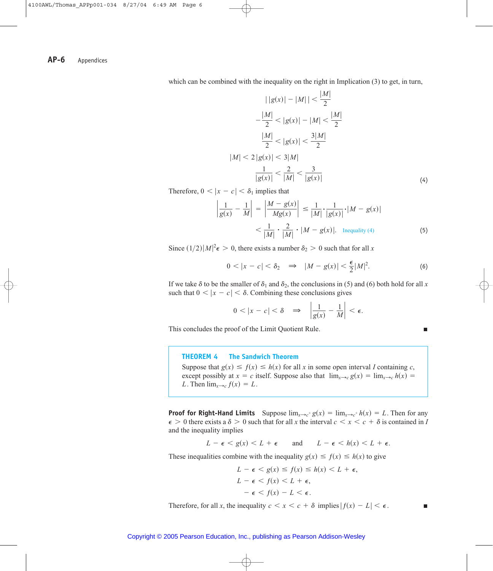which can be combined with the inequality on the right in Implication (3) to get, in turn,

$$
||g(x)| - |M|| < \frac{|M|}{2}
$$
  
\n
$$
-\frac{|M|}{2} < |g(x)| - |M| < \frac{|M|}{2}
$$
  
\n
$$
\frac{|M|}{2} < |g(x)| < \frac{3|M|}{2}
$$
  
\n
$$
|M| < 2|g(x)| < 3|M|
$$
  
\n
$$
\frac{1}{|g(x)|} < \frac{2}{|M|} < \frac{3}{|g(x)|}
$$
\n(4)

Therefore,  $0 < |x - c| < \delta_1$  implies that

$$
\left|\frac{1}{g(x)} - \frac{1}{M}\right| = \left|\frac{M - g(x)}{Mg(x)}\right| \le \frac{1}{|M|} \cdot \frac{1}{|g(x)|} \cdot |M - g(x)|
$$

$$
< \frac{1}{|M|} \cdot \frac{2}{|M|} \cdot |M - g(x)|. \text{ Inequality (4)}
$$
(5)

Since  $(1/2)|M|^2 \epsilon > 0$ , there exists a number  $\delta_2 > 0$  such that for all *x* 

$$
0 < |x - c| < \delta_2 \quad \Rightarrow \quad |M - g(x)| < \frac{\epsilon}{2}|M|^2. \tag{6}
$$

If we take  $\delta$  to be the smaller of  $\delta_1$  and  $\delta_2$ , the conclusions in (5) and (6) both hold for all *x* such that  $0 < |x - c| < \delta$ . Combining these conclusions gives

$$
0 < |x - c| < \delta \quad \Rightarrow \quad \left| \frac{1}{g(x)} - \frac{1}{M} \right| < \epsilon.
$$

This concludes the proof of the Limit Quotient Rule.

 $\Box$ 

### **THEOREM 4 The Sandwich Theorem**

Suppose that  $g(x) \leq f(x) \leq h(x)$  for all x in some open interval *I* containing *c*, except possibly at  $x = c$  itself. Suppose also that  $\lim_{x \to c} g(x) = \lim_{x \to c} h(x) =$ *L*. Then  $\lim_{x\to c} f(x) = L$ .

**Proof for Right-Hand Limits** Suppose  $\lim_{x\to c^+} g(x) = \lim_{x\to c^+} h(x) = L$ . Then for any  $\epsilon > 0$  there exists a  $\delta > 0$  such that for all *x* the interval  $c < x < c + \delta$  is contained in *I* and the inequality implies

$$
L - \epsilon < g(x) < L + \epsilon \qquad \text{and} \qquad L - \epsilon < h(x) < L + \epsilon.
$$

These inequalities combine with the inequality  $g(x) \leq f(x) \leq h(x)$  to give

$$
L - \epsilon < g(x) \le f(x) \le h(x) < L + \epsilon,
$$
\n
$$
L - \epsilon < f(x) < L + \epsilon,
$$
\n
$$
- \epsilon < f(x) - L < \epsilon.
$$

Therefore, for all *x*, the inequality  $c < x < c + \delta$  implies  $|f(x) - L| < \epsilon$ .

п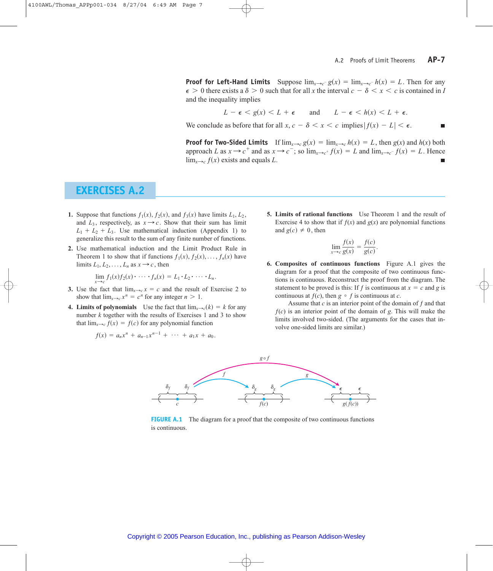**Proof for Left-Hand Limits** Suppose  $\lim_{x\to c^-} g(x) = \lim_{x\to c^-} h(x) = L$ . Then for any  $\epsilon > 0$  there exists a  $\delta > 0$  such that for all *x* the interval  $c - \delta < x < c$  is contained in *I* and the inequality implies

$$
L - \epsilon < g(x) < L + \epsilon \qquad \text{and} \qquad L - \epsilon < h(x) < L + \epsilon.
$$

We conclude as before that for all  $x, c - \delta < x < c$  implies  $|f(x) - L| < \epsilon$ .

**Proof for Two-Sided Limits** If  $\lim_{x\to c} g(x) = \lim_{x\to c} h(x) = L$ , then  $g(x)$  and  $h(x)$  both approach *L* as  $x \to c^+$  and as  $x \to c^-$ ; so  $\lim_{x \to c^+} f(x) = L$  and  $\lim_{x \to c^-} f(x) = L$ . Hence  $\lim_{x\to c} f(x)$  exists and equals *L*.

## **EXERCISES A.2**

- **1.** Suppose that functions  $f_1(x)$ ,  $f_2(x)$ , and  $f_3(x)$  have limits  $L_1, L_2$ , and  $L_3$ , respectively, as  $x \rightarrow c$ . Show that their sum has limit  $L_1 + L_2 + L_3$ . Use mathematical induction (Appendix 1) to generalize this result to the sum of any finite number of functions.
- **2.** Use mathematical induction and the Limit Product Rule in Theorem 1 to show that if functions  $f_1(x)$ ,  $f_2(x)$ , ...,  $f_n(x)$  have limits  $L_1, L_2, \ldots, L_n$  as  $x \rightarrow c$ , then

$$
\lim_{x\to c} f_1(x)f_2(x)\cdot\cdots\cdot f_n(x)=L_1\cdot L_2\cdot\cdots\cdot L_n.
$$

- **3.** Use the fact that  $\lim_{x\to c} x = c$  and the result of Exercise 2 to show that  $\lim_{x\to c} x^n = c^n$  for any integer  $n > 1$ .
- **4. Limits of polynomials** Use the fact that  $\lim_{x \to c} (k) = k$  for any number *k* together with the results of Exercises 1 and 3 to show that  $\lim_{x\to c} f(x) = f(c)$  for any polynomial function

$$
f(x) = a_n x^n + a_{n-1} x^{n-1} + \cdots + a_1 x + a_0.
$$

**5. Limits of rational functions** Use Theorem 1 and the result of Exercise 4 to show that if  $f(x)$  and  $g(x)$  are polynomial functions and  $g(c) \neq 0$ , then

$$
\lim_{x \to c} \frac{f(x)}{g(x)} = \frac{f(c)}{g(c)}.
$$

**6. Composites of continuous functions** Figure A.1 gives the diagram for a proof that the composite of two continuous functions is continuous. Reconstruct the proof from the diagram. The statement to be proved is this: If *f* is continuous at  $x = c$  and *g* is continuous at  $f(c)$ , then  $g \circ f$  is continuous at *c*.

Assume that *c* is an interior point of the domain of *ƒ* and that  $f(c)$  is an interior point of the domain of *g*. This will make the limits involved two-sided. (The arguments for the cases that involve one-sided limits are similar.)



**FIGURE A.1** The diagram for a proof that the composite of two continuous functions is continuous.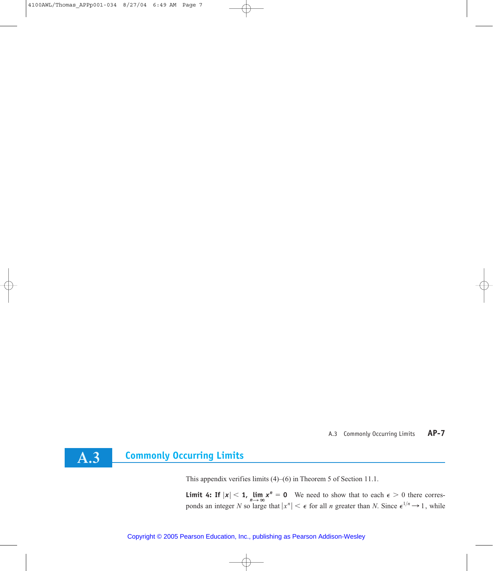## A.3 Commonly Occurring Limits **AP-7**



This appendix verifies limits (4)–(6) in Theorem 5 of Section 11.1.

**Limit 4: If**  $|x| < 1$ ,  $\lim_{n \to \infty} x^n = 0$  We need to show that to each  $\epsilon > 0$  there corresponds an integer *N* so large that  $|x^n| < \epsilon$  for all *n* greater than *N*. Since  $\epsilon^{1/n} \rightarrow 1$ , while

Copyright © 2005 Pearson Education, Inc., publishing as Pearson Addison-Wesley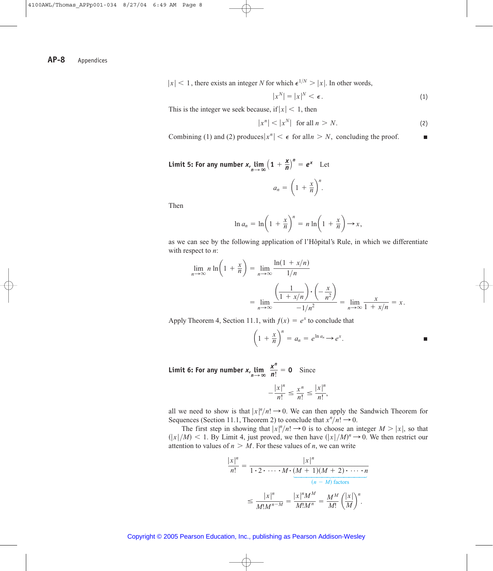$|x| < 1$ , there exists an integer *N* for which  $\epsilon^{1/N} > |x|$ . In other words,

$$
|x^N| = |x|^N < \epsilon. \tag{1}
$$

This is the integer we seek because, if  $|x| < 1$ , then

$$
|x^n| < |x^N| \quad \text{for all } n > N. \tag{2}
$$

Combining (1) and (2) produces  $|x^n| < \epsilon$  for all  $n > N$ , concluding the proof. Г

**Limit 5: For any number**  $x$ **,**  $\lim_{n \to \infty} (1 + \frac{x}{n})^n = e^x$  **Let** 

 $a_n = \left(1 + \frac{x}{n}\right)$ *n* .

Then

$$
\ln a_n = \ln \left(1 + \frac{x}{n}\right)^n = n \ln \left(1 + \frac{x}{n}\right) \to x,
$$

as we can see by the following application of l'Hôpital's Rule, in which we differentiate with respect to *n*:

$$
\lim_{n \to \infty} n \ln \left( 1 + \frac{x}{n} \right) = \lim_{n \to \infty} \frac{\ln(1 + x/n)}{1/n}
$$

$$
= \lim_{n \to \infty} \frac{\left( \frac{1}{1 + x/n} \right) \cdot \left( -\frac{x}{n^2} \right)}{-1/n^2} = \lim_{n \to \infty} \frac{x}{1 + x/n} = x.
$$

Apply Theorem 4, Section 11.1, with  $f(x) = e^x$  to conclude that

$$
\left(1+\frac{x}{n}\right)^n=a_n=e^{\ln a_n}\to e^x.
$$

**Limit 6: For any number**  $x_n \lim_{n \to \infty} \frac{x^n}{n!} = 0$  **Since** 

$$
-\frac{|x|^n}{n!} \le \frac{x^n}{n!} \le \frac{|x|^n}{n!},
$$

all we need to show is that  $|x|^n/n! \to 0$ . We can then apply the Sandwich Theorem for Sequences (Section 11.1, Theorem 2) to conclude that  $x^n/n! \to 0$ .

The first step in showing that  $|x|^n/n! \to 0$  is to choose an integer  $M > |x|$ , so that  $\left(\frac{|x|}{M}\right)$  < 1. By Limit 4, just proved, we then have  $\left(\frac{|x|}{M}\right)^n \to 0$ . We then restrict our attention to values of  $n > M$ . For these values of *n*, we can write

$$
\frac{|x|^n}{n!} = \frac{|x|^n}{1 \cdot 2 \cdot \dots \cdot M \cdot (M+1)(M+2) \cdot \dots \cdot n}
$$

$$
\leq \frac{|x|^n}{M!M^{n-M}} = \frac{|x|^n M^M}{M!M^n} = \frac{M^M}{M!} \left(\frac{|x|}{M}\right)^n.
$$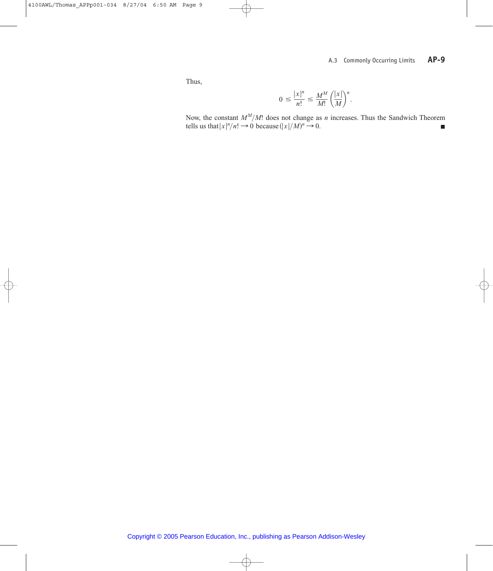Thus,

$$
0 \le \frac{|x|^n}{n!} \le \frac{M^M}{M!} \left(\frac{|x|}{M}\right)^n.
$$

Now, the constant  $M^M/M$ ! does not change as *n* increases. Thus the Sandwich Theorem tells us that  $|x|^n/n! \to 0$  because  $(|x|/M)^n \to 0$ .  $M^M\!/M!$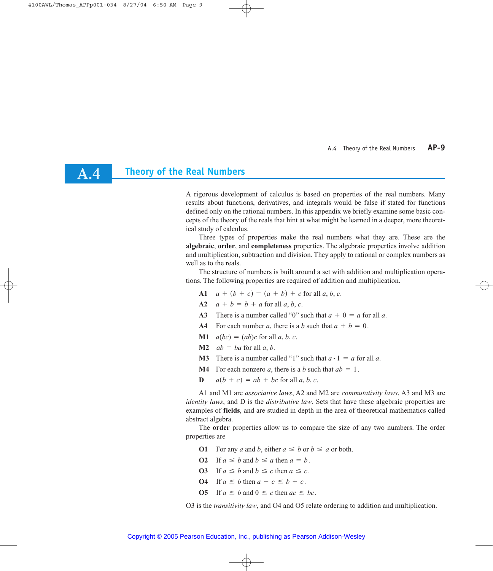**A.4**

A rigorous development of calculus is based on properties of the real numbers. Many results about functions, derivatives, and integrals would be false if stated for functions defined only on the rational numbers. In this appendix we briefly examine some basic concepts of the theory of the reals that hint at what might be learned in a deeper, more theoretical study of calculus.

Three types of properties make the real numbers what they are. These are the **algebraic**, **order**, and **completeness** properties. The algebraic properties involve addition and multiplication, subtraction and division. They apply to rational or complex numbers as well as to the reals.

The structure of numbers is built around a set with addition and multiplication operations. The following properties are required of addition and multiplication.

- **A1**  $a + (b + c) = (a + b) + c$  for all a, b, c.
- **A2**  $a + b = b + a$  for all  $a, b, c$ .
- **A3** There is a number called "0" such that  $a + 0 = a$  for all *a*.
- A4 For each number *a*, there is a *b* such that  $a + b = 0$ .
- **M1**  $a(bc) = (ab)c$  for all a, b, c.
- **M2**  $ab = ba$  for all  $a, b$ .
- **M3** There is a number called "1" such that  $a \cdot 1 = a$  for all *a*.
- **M4** For each nonzero *a*, there is a *b* such that  $ab = 1$ .
- **D**  $a(b + c) = ab + bc$  for all a, b, c.

A1 and M1 are *associative laws*, A2 and M2 are *commutativity laws*, A3 and M3 are *identity laws*, and D is the *distributive law*. Sets that have these algebraic properties are examples of **fields**, and are studied in depth in the area of theoretical mathematics called abstract algebra.

The **order** properties allow us to compare the size of any two numbers. The order properties are

- **O1** For any *a* and *b*, either  $a \leq b$  or  $b \leq a$  or both.
- **O2** If  $a \leq b$  and  $b \leq a$  then  $a = b$ .
- **O3** If  $a \leq b$  and  $b \leq c$  then  $a \leq c$ .
- **O4** If  $a \leq b$  then  $a + c \leq b + c$ .
- **O5** If  $a \leq b$  and  $0 \leq c$  then  $ac \leq bc$ .

O3 is the *transitivity law*, and O4 and O5 relate ordering to addition and multiplication.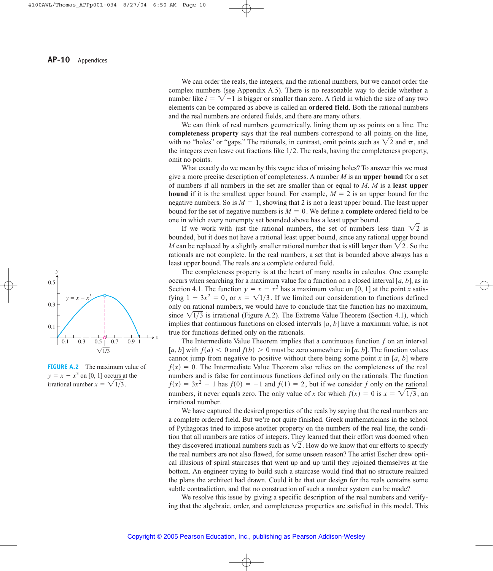$0.1$   $0.3$   $0.5$   $\begin{bmatrix} 0.7 & 0.9 & 1 \end{bmatrix}$ 0.1 0.3 0.5  $\sqrt{1/3}$  $y =$  $= x - x^3$ *y*

*x*

**FIGURE A.2** The maximum value of  $y = x - x^3$  on [0, 1] occurs at the irrational number  $x = \sqrt{1/3}$ .

We can order the reals, the integers, and the rational numbers, but we cannot order the complex numbers (see Appendix A.5). There is no reasonable way to decide whether a number like  $i = \sqrt{-1}$  is bigger or smaller than zero. A field in which the size of any two elements can be compared as above is called an **ordered field**. Both the rational numbers and the real numbers are ordered fields, and there are many others.

We can think of real numbers geometrically, lining them up as points on a line. The **completeness property** says that the real numbers correspond to all points on the line, with no "holes" or "gaps." The rationals, in contrast, omit points such as  $\sqrt{2}$  and  $\pi$ , and the integers even leave out fractions like  $1/2$ . The reals, having the completeness property, omit no points.

What exactly do we mean by this vague idea of missing holes? To answer this we must give a more precise description of completeness. A number *M* is an **upper bound** for a set of numbers if all numbers in the set are smaller than or equal to *M*. *M* is a **least upper bound** if it is the smallest upper bound. For example,  $M = 2$  is an upper bound for the negative numbers. So is  $M = 1$ , showing that 2 is not a least upper bound. The least upper bound for the set of negative numbers is  $M = 0$ . We define a **complete** ordered field to be one in which every nonempty set bounded above has a least upper bound.

If we work with just the rational numbers, the set of numbers less than  $\sqrt{2}$  is bounded, but it does not have a rational least upper bound, since any rational upper bound *M* can be replaced by a slightly smaller rational number that is still larger than  $\sqrt{2}$ . So the rationals are not complete. In the real numbers, a set that is bounded above always has a least upper bound. The reals are a complete ordered field.

The completeness property is at the heart of many results in calculus. One example occurs when searching for a maximum value for a function on a closed interval [*a*, *b*], as in Section 4.1. The function  $y = x - x^3$  has a maximum value on [0, 1] at the point *x* satisfying  $1 - 3x^2 = 0$ , or  $x = \sqrt{1/3}$ . If we limited our consideration to functions defined only on rational numbers, we would have to conclude that the function has no maximum, since  $\sqrt{1/3}$  is irrational (Figure A.2). The Extreme Value Theorem (Section 4.1), which implies that continuous functions on closed intervals [*a*, *b*] have a maximum value, is not true for functions defined only on the rationals.

The Intermediate Value Theorem implies that a continuous function *ƒ* on an interval [*a*, *b*] with  $f(a) < 0$  and  $f(b) > 0$  must be zero somewhere in [*a*, *b*]. The function values cannot jump from negative to positive without there being some point *x* in [*a*, *b*] where  $f(x) = 0$ . The Intermediate Value Theorem also relies on the completeness of the real numbers and is false for continuous functions defined only on the rationals. The function  $f(x) = 3x^2 - 1$  has  $f(0) = -1$  and  $f(1) = 2$ , but if we consider f only on the rational numbers, it never equals zero. The only value of *x* for which  $f(x) = 0$  is  $x = \sqrt{1/3}$ , an irrational number.

We have captured the desired properties of the reals by saying that the real numbers are a complete ordered field. But we're not quite finished. Greek mathematicians in the school of Pythagoras tried to impose another property on the numbers of the real line, the condition that all numbers are ratios of integers. They learned that their effort was doomed when they discovered irrational numbers such as  $\sqrt{2}$ . How do we know that our efforts to specify the real numbers are not also flawed, for some unseen reason? The artist Escher drew optical illusions of spiral staircases that went up and up until they rejoined themselves at the bottom. An engineer trying to build such a staircase would find that no structure realized the plans the architect had drawn. Could it be that our design for the reals contains some subtle contradiction, and that no construction of such a number system can be made?

We resolve this issue by giving a specific description of the real numbers and verifying that the algebraic, order, and completeness properties are satisfied in this model. This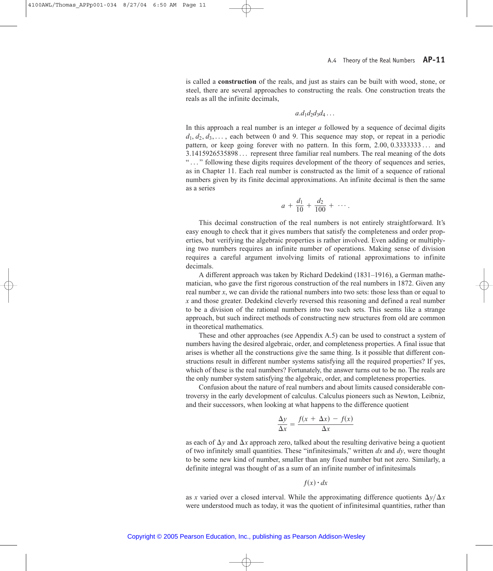is called a **construction** of the reals, and just as stairs can be built with wood, stone, or steel, there are several approaches to constructing the reals. One construction treats the reals as all the infinite decimals,

$$
a.d_1d_2d_3d_4\ldots
$$

In this approach a real number is an integer *a* followed by a sequence of decimal digits  $d_1, d_2, d_3, \ldots$ , each between 0 and 9. This sequence may stop, or repeat in a periodic pattern, or keep going forever with no pattern. In this form, 2.00, 0.333333333... and 3.1415926535898... represent three familiar real numbers. The real meaning of the dots "..." following these digits requires development of the theory of sequences and series, as in Chapter 11. Each real number is constructed as the limit of a sequence of rational numbers given by its finite decimal approximations. An infinite decimal is then the same as a series

$$
a + \frac{d_1}{10} + \frac{d_2}{100} + \cdots
$$

This decimal construction of the real numbers is not entirely straightforward. It's easy enough to check that it gives numbers that satisfy the completeness and order properties, but verifying the algebraic properties is rather involved. Even adding or multiplying two numbers requires an infinite number of operations. Making sense of division requires a careful argument involving limits of rational approximations to infinite decimals.

A different approach was taken by Richard Dedekind (1831–1916), a German mathematician, who gave the first rigorous construction of the real numbers in 1872. Given any real number *x*, we can divide the rational numbers into two sets: those less than or equal to *x* and those greater. Dedekind cleverly reversed this reasoning and defined a real number to be a division of the rational numbers into two such sets. This seems like a strange approach, but such indirect methods of constructing new structures from old are common in theoretical mathematics.

These and other approaches (see Appendix A.5) can be used to construct a system of numbers having the desired algebraic, order, and completeness properties. A final issue that arises is whether all the constructions give the same thing. Is it possible that different constructions result in different number systems satisfying all the required properties? If yes, which of these is the real numbers? Fortunately, the answer turns out to be no. The reals are the only number system satisfying the algebraic, order, and completeness properties.

Confusion about the nature of real numbers and about limits caused considerable controversy in the early development of calculus. Calculus pioneers such as Newton, Leibniz, and their successors, when looking at what happens to the difference quotient

$$
\frac{\Delta y}{\Delta x} = \frac{f(x + \Delta x) - f(x)}{\Delta x}
$$

as each of  $\Delta y$  and  $\Delta x$  approach zero, talked about the resulting derivative being a quotient of two infinitely small quantities. These "infinitesimals," written *dx* and *dy*, were thought to be some new kind of number, smaller than any fixed number but not zero. Similarly, a definite integral was thought of as a sum of an infinite number of infinitesimals

$$
f(x) \cdot dx
$$

as *x* varied over a closed interval. While the approximating difference quotients  $\Delta y/\Delta x$ were understood much as today, it was the quotient of infinitesimal quantities, rather than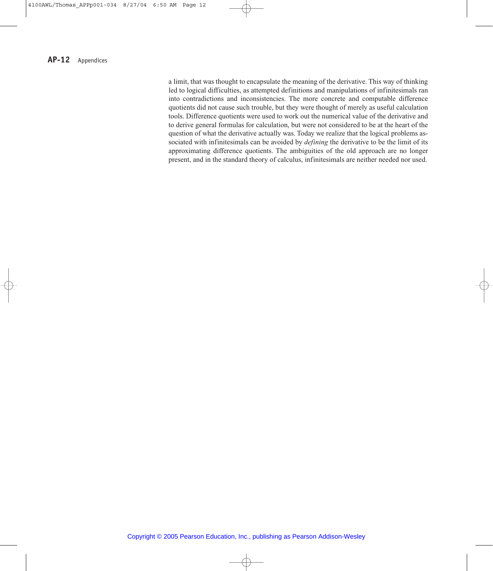a limit, that was thought to encapsulate the meaning of the derivative. This way of thinking led to logical difficulties, as attempted definitions and manipulations of infinitesimals ran into contradictions and inconsistencies. The more concrete and computable difference quotients did not cause such trouble, but they were thought of merely as useful calculation tools. Difference quotients were used to work out the numerical value of the derivative and to derive general formulas for calculation, but were not considered to be at the heart of the question of what the derivative actually was. Today we realize that the logical problems associated with infinitesimals can be avoided by *defining* the derivative to be the limit of its approximating difference quotients. The ambiguities of the old approach are no longer present, and in the standard theory of calculus, infinitesimals are neither needed nor used.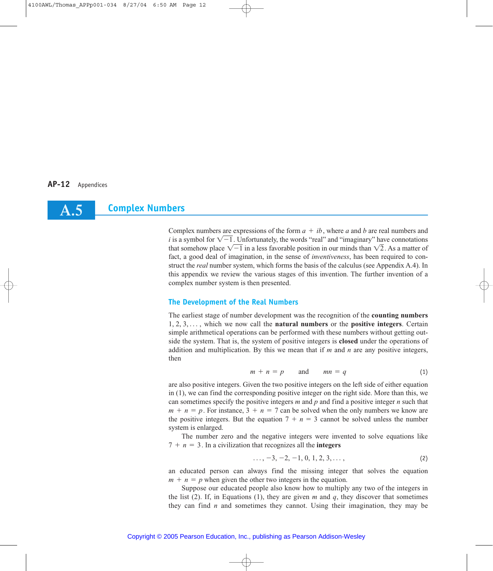## **Complex Numbers A.5**

Complex numbers are expressions of the form  $a + ib$ , where *a* and *b* are real numbers and *i* is a symbol for  $\sqrt{-1}$ . Unfortunately, the words "real" and "imaginary" have connotations that somehow place  $\sqrt{-1}$  in a less favorable position in our minds than  $\sqrt{2}$ . As a matter of fact, a good deal of imagination, in the sense of *inventiveness*, has been required to construct the *real* number system, which forms the basis of the calculus (see Appendix A.4). In this appendix we review the various stages of this invention. The further invention of a complex number system is then presented.

## **The Development of the Real Numbers**

The earliest stage of number development was the recognition of the **counting numbers** 1, 2, 3, ..., which we now call the **natural numbers** or the **positive integers**. Certain simple arithmetical operations can be performed with these numbers without getting outside the system. That is, the system of positive integers is **closed** under the operations of addition and multiplication. By this we mean that if *m* and *n* are any positive integers, then

$$
m + n = p \qquad \text{and} \qquad mn = q \tag{1}
$$

are also positive integers. Given the two positive integers on the left side of either equation in (1), we can find the corresponding positive integer on the right side. More than this, we can sometimes specify the positive integers *m* and *p* and find a positive integer *n* such that  $m + n = p$ . For instance,  $3 + n = 7$  can be solved when the only numbers we know are the positive integers. But the equation  $7 + n = 3$  cannot be solved unless the number system is enlarged.

The number zero and the negative integers were invented to solve equations like  $7 + n = 3$ . In a civilization that recognizes all the **integers** 

$$
\ldots, -3, -2, -1, 0, 1, 2, 3, \ldots,
$$
 (2)

an educated person can always find the missing integer that solves the equation  $m + n = p$  when given the other two integers in the equation.

Suppose our educated people also know how to multiply any two of the integers in the list (2). If, in Equations (1), they are given  $m$  and  $q$ , they discover that sometimes they can find *n* and sometimes they cannot. Using their imagination, they may be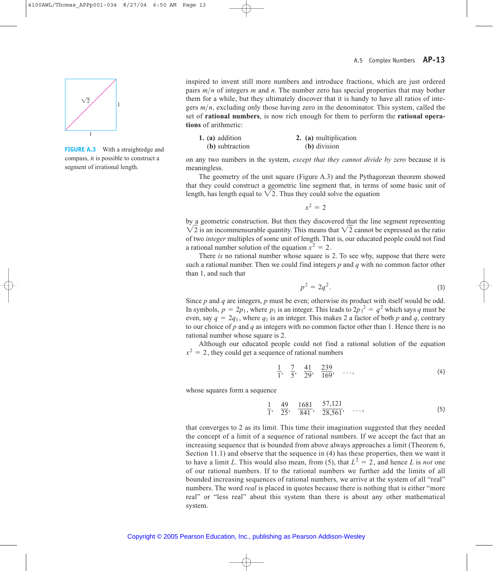

**FIGURE A.3** With a straightedge and compass, it is possible to construct a segment of irrational length.

inspired to invent still more numbers and introduce fractions, which are just ordered pairs  $m/n$  of integers  $m$  and  $n$ . The number zero has special properties that may bother them for a while, but they ultimately discover that it is handy to have all ratios of integers  $m/n$ , excluding only those having zero in the denominator. This system, called the set of **rational numbers**, is now rich enough for them to perform the **rational operations** of arithmetic:

| 1. (a) addition | 2. (a) multiplication |
|-----------------|-----------------------|
| (b) subtraction | (b) division          |

on any two numbers in the system, *except that they cannot divide by zero* because it is meaningless.

The geometry of the unit square (Figure A.3) and the Pythagorean theorem showed that they could construct a geometric line segment that, in terms of some basic unit of length, has length equal to  $\sqrt{2}$ . Thus they could solve the equation

 $x^2 = 2$ 

by a geometric construction. But then they discovered that the line segment representing  $\sqrt{2}$  is an incommensurable quantity. This means that  $\sqrt{2}$  cannot be expressed as the ratio of two *integer* multiples of some unit of length. That is, our educated people could not find a rational number solution of the equation  $x^2 = 2$ .

There *is* no rational number whose square is 2. To see why, suppose that there were such a rational number. Then we could find integers *p* and *q* with no common factor other than 1, and such that

$$
p^2 = 2q^2. \tag{3}
$$

Since *p* and *q* are integers, *p* must be even; otherwise its product with itself would be odd. In symbols,  $p = 2p_1$ , where  $p_1$  is an integer. This leads to  $2p_1^2 = q^2$  which says *q* must be even, say  $q = 2q_1$ , where  $q_1$  is an integer. This makes 2 a factor of both *p* and *q*, contrary to our choice of *p* and *q* as integers with no common factor other than 1. Hence there is no rational number whose square is 2.

Although our educated people could not find a rational solution of the equation  $x^2 = 2$ , they could get a sequence of rational numbers

$$
\frac{1}{1}, \frac{7}{5}, \frac{41}{29}, \frac{239}{169}, \dots, \tag{4}
$$

whose squares form a sequence

$$
\frac{1}{1}, \quad \frac{49}{25}, \quad \frac{1681}{841}, \quad \frac{57,121}{28,561}, \quad \dots,\tag{5}
$$

that converges to 2 as its limit. This time their imagination suggested that they needed the concept of a limit of a sequence of rational numbers. If we accept the fact that an increasing sequence that is bounded from above always approaches a limit (Theorem 6, Section 11.1) and observe that the sequence in (4) has these properties, then we want it to have a limit L. This would also mean, from (5), that  $L^2 = 2$ , and hence L is *not* one of our rational numbers. If to the rational numbers we further add the limits of all bounded increasing sequences of rational numbers, we arrive at the system of all "real" numbers. The word *real* is placed in quotes because there is nothing that is either "more real" or "less real" about this system than there is about any other mathematical system.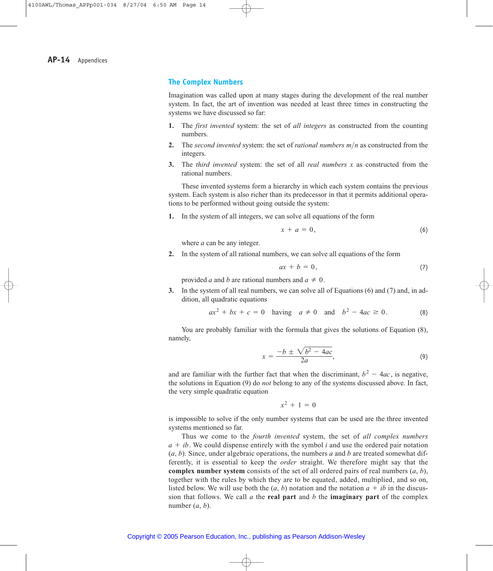### **The Complex Numbers**

Imagination was called upon at many stages during the development of the real number system. In fact, the art of invention was needed at least three times in constructing the systems we have discussed so far:

- **1.** The *first invented* system: the set of *all integers* as constructed from the counting numbers.
- **2.** The *second invented* system: the set of *rational numbers*  $m/n$  as constructed from the integers.
- **3.** The *third invented* system: the set of all *real numbers x* as constructed from the rational numbers.

These invented systems form a hierarchy in which each system contains the previous system. Each system is also richer than its predecessor in that it permits additional operations to be performed without going outside the system:

**1.** In the system of all integers, we can solve all equations of the form

$$
x + a = 0,\t\t(6)
$$

where *a* can be any integer.

**2.** In the system of all rational numbers, we can solve all equations of the form

$$
ax + b = 0,\t\t(7)
$$

provided *a* and *b* are rational numbers and  $a \neq 0$ .

**3.** In the system of all real numbers, we can solve all of Equations (6) and (7) and, in addition, all quadratic equations

$$
ax^2 + bx + c = 0
$$
 having  $a \neq 0$  and  $b^2 - 4ac \geq 0$ . (8)

You are probably familiar with the formula that gives the solutions of Equation (8), namely,

$$
x = \frac{-b \pm \sqrt{b^2 - 4ac}}{2a},\tag{9}
$$

and are familiar with the further fact that when the discriminant,  $b^2 - 4ac$ , is negative, the solutions in Equation (9) do *not* belong to any of the systems discussed above. In fact, the very simple quadratic equation

$$
x^2 + 1 = 0
$$

is impossible to solve if the only number systems that can be used are the three invented systems mentioned so far.

Thus we come to the *fourth invented* system, the set of *all complex numbers*  $a + ib$ . We could dispense entirely with the symbol *i* and use the ordered pair notation (*a*, *b*). Since, under algebraic operations, the numbers *a* and *b* are treated somewhat differently, it is essential to keep the *order* straight. We therefore might say that the **complex number system** consists of the set of all ordered pairs of real numbers (*a*, *b*), together with the rules by which they are to be equated, added, multiplied, and so on, listed below. We will use both the  $(a, b)$  notation and the notation  $a + ib$  in the discussion that follows. We call *a* the **real part** and *b* the **imaginary part** of the complex number  $(a, b)$ .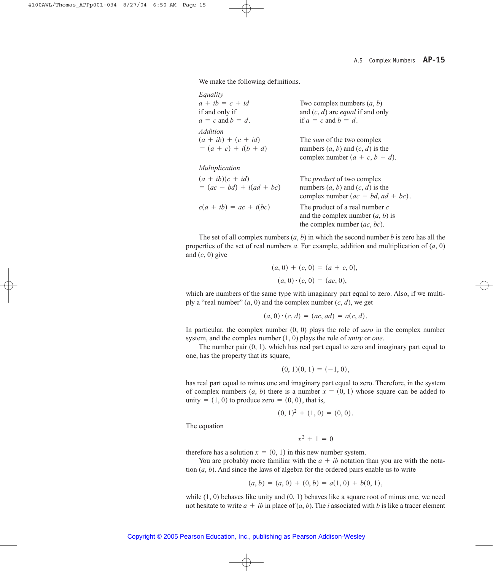We make the following definitions.

| Equality                   |                                           |
|----------------------------|-------------------------------------------|
| $a + ib = c + id$          | Two complex numbers $(a, b)$              |
| if and only if             | and $(c, d)$ are <i>equal</i> if and only |
| $a = c$ and $b = d$ .      | if $a = c$ and $b = d$ .                  |
| <i>Addition</i>            |                                           |
| $(a + ib) + (c + id)$      | The <i>sum</i> of the two complex         |
| $= (a + c) + i(b + d)$     | numbers $(a, b)$ and $(c, d)$ is the      |
|                            | complex number $(a + c, b + d)$ .         |
| Multiplication             |                                           |
| $(a + ib)(c + id)$         | The <i>product</i> of two complex         |
| $= (ac - bd) + i(ad + bc)$ | numbers $(a, b)$ and $(c, d)$ is the      |
|                            | complex number $(ac - bd, ad + bc)$ .     |
| $c(a + ib) = ac + i(bc)$   | The product of a real number $c$          |
|                            | and the complex number $(a, b)$ is        |
|                            | the complex number $(ac, bc)$ .           |

The set of all complex numbers (*a*, *b*) in which the second number *b* is zero has all the properties of the set of real numbers  $a$ . For example, addition and multiplication of  $(a, 0)$ and  $(c, 0)$  give

$$
(a, 0) + (c, 0) = (a + c, 0),
$$
  

$$
(a, 0) \cdot (c, 0) = (ac, 0),
$$

which are numbers of the same type with imaginary part equal to zero. Also, if we multiply a "real number"  $(a, 0)$  and the complex number  $(c, d)$ , we get

$$
(a, 0) \cdot (c, d) = (ac, ad) = a(c, d).
$$

In particular, the complex number (0, 0) plays the role of *zero* in the complex number system, and the complex number (1, 0) plays the role of *unity* or *one*.

The number pair (0, 1), which has real part equal to zero and imaginary part equal to one, has the property that its square,

$$
(0,1)(0,1)=(-1,0),
$$

has real part equal to minus one and imaginary part equal to zero. Therefore, in the system of complex numbers  $(a, b)$  there is a number  $x = (0, 1)$  whose square can be added to unity =  $(1, 0)$  to produce zero =  $(0, 0)$ , that is,

$$
(0, 1)^2 + (1, 0) = (0, 0).
$$

The equation

 $x^2 + 1 = 0$ 

therefore has a solution  $x = (0, 1)$  in this new number system.

You are probably more familiar with the  $a + ib$  notation than you are with the notation (*a*, *b*). And since the laws of algebra for the ordered pairs enable us to write

$$
(a, b) = (a, 0) + (0, b) = a(1, 0) + b(0, 1),
$$

while  $(1, 0)$  behaves like unity and  $(0, 1)$  behaves like a square root of minus one, we need not hesitate to write  $a + ib$  in place of  $(a, b)$ . The *i* associated with *b* is like a tracer element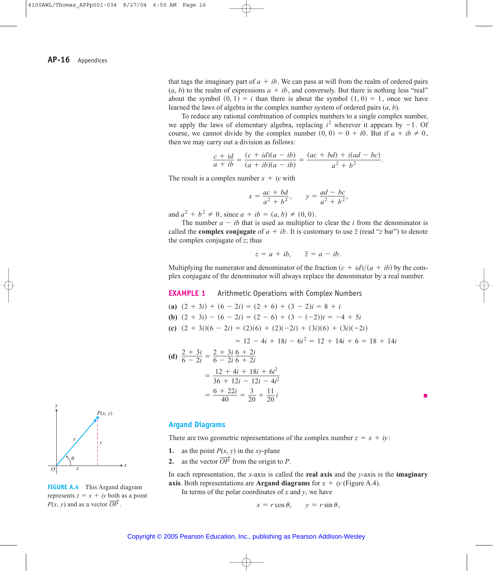that tags the imaginary part of  $a + ib$ . We can pass at will from the realm of ordered pairs  $(a, b)$  to the realm of expressions  $a + ib$ , and conversely. But there is nothing less "real" about the symbol  $(0, 1) = i$  than there is about the symbol  $(1, 0) = 1$ , once we have learned the laws of algebra in the complex number system of ordered pairs (*a*, *b*).

To reduce any rational combination of complex numbers to a single complex number, we apply the laws of elementary algebra, replacing  $i^2$  wherever it appears by  $-1$ . Of course, we cannot divide by the complex number  $(0, 0) = 0 + i0$ . But if  $a + ib \neq 0$ , then we may carry out a division as follows:

$$
\frac{c + id}{a + ib} = \frac{(c + id)(a - ib)}{(a + ib)(a - ib)} = \frac{(ac + bd) + i(ad - bc)}{a^2 + b^2}.
$$

The result is a complex number  $x + iy$  with

$$
x = \frac{ac + bd}{a^2 + b^2}
$$
,  $y = \frac{ad - bc}{a^2 + b^2}$ ,

and  $a^2 + b^2 \neq 0$ , since  $a + ib = (a, b) \neq (0, 0)$ .

The number  $a - ib$  that is used as multiplier to clear the *i* from the denominator is called the **complex conjugate** of  $a + ib$ . It is customary to use  $\overline{z}$  (read "*z* bar") to denote the complex conjugate of *z*; thus

$$
z = a + ib, \quad \bar{z} = a - ib.
$$

Multiplying the numerator and denominator of the fraction  $(c + id)/(a + ib)$  by the complex conjugate of the denominator will always replace the denominator by a real number.

**EXAMPLE 1** Arithmetic Operations with Complex Numbers

(a) 
$$
(2 + 3i) + (6 - 2i) = (2 + 6) + (3 - 2)i = 8 + i
$$
  
\n(b)  $(2 + 3i) - (6 - 2i) = (2 - 6) + (3 - (-2))i = -4 + 5i$   
\n(c)  $(2 + 3i)(6 - 2i) = (2)(6) + (2)(-2i) + (3i)(6) + (3i)(-2i)$   
\n $= 12 - 4i + 18i - 6i^2 = 12 + 14i + 6 = 18 + 14i$   
\n(d)  $\frac{2 + 3i}{2} = \frac{2 + 3i}{2} = \frac{4}{3}i + 2i$ 

(d) 
$$
\frac{2+3i}{6-2i} = \frac{2+3i}{6-2i} \frac{6+2i}{6+2i}
$$

$$
= \frac{12+4i+18i+6i^2}{36+12i-12i-4i^2}
$$

$$
= \frac{6+22i}{40} = \frac{3}{20} + \frac{11}{20}i
$$



**FIGURE A.4** This Argand diagram represents  $z = x + iy$  both as a point  $P(x, y)$  and as a vector  $\overline{OP}$ .

#### **Argand Diagrams**

There are two geometric representations of the complex number  $z = x + iy$ :

- **1.** as the point  $P(x, y)$  in the *xy*-plane
- 2. as the vector  $\overline{OP}$ <sup>§</sup> from the origin to *P*.

In each representation, the *x*-axis is called the **real axis** and the *y*-axis is the **imaginary axis**. Both representations are **Argand diagrams** for  $x + iy$  (Figure A.4).

In terms of the polar coordinates of *x* and *y*, we have

$$
x = r \cos \theta, \qquad y = r \sin \theta,
$$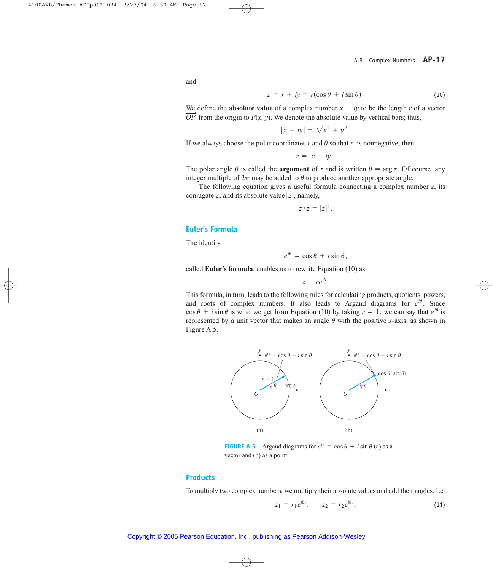and

$$
z = x + iy = r(\cos \theta + i \sin \theta). \tag{10}
$$

We define the **absolute value** of a complex number  $x + iy$  to be the length *r* of a vector  $\overline{OP}$  from the origin to  $P(x, y)$ . We denote the absolute value by vertical bars; thus,  $\overrightarrow{OP}$  from the origin to  $P(x, y)$ . We denote the absolute value by vertical bars; thus,

$$
|x + iy| = \sqrt{x^2 + y^2}.
$$

If we always choose the polar coordinates  $r$  and  $\theta$  so that  $r$  is nonnegative, then

$$
r = |x + iy|.
$$

The polar angle  $\theta$  is called the **argument** of *z* and is written  $\theta$  = arg *z*. Of course, any integer multiple of  $2\pi$  may be added to  $\theta$  to produce another appropriate angle.

The following equation gives a useful formula connecting a complex number *z*, its conjugate  $\overline{z}$ , and its absolute value  $|z|$ , namely,

$$
z \cdot \overline{z} = |z|^2.
$$

## **Euler's Formula**

The identity

 $e^{i\theta} = \cos \theta + i \sin \theta$ .

called **Euler's formula**, enables us to rewrite Equation (10) as

$$
z=re^{i\theta}.
$$

This formula, in turn, leads to the following rules for calculating products, quotients, powers, and roots of complex numbers. It also leads to Argand diagrams for  $e^{i\theta}$ . Since  $\cos \theta + i \sin \theta$  is what we get from Equation (10) by taking  $r = 1$ , we can say that  $e^{i\theta}$  is represented by a unit vector that makes an angle  $\theta$  with the positive *x*-axis, as shown in Figure A.5.



**FIGURE A.5** Argand diagrams for  $e^{i\theta} = \cos \theta + i \sin \theta$  (a) as a vector and (b) as a point.

#### **Products**

To multiply two complex numbers, we multiply their absolute values and add their angles. Let

$$
z_1 = r_1 e^{i\theta_1}, \qquad z_2 = r_2 e^{i\theta_2}, \tag{11}
$$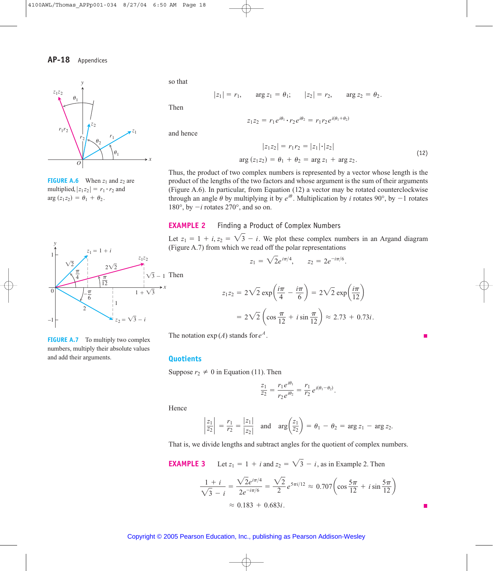

**FIGURE A.6** When  $z_1$  and  $z_2$  are multiplied,  $|z_1 z_2| = r_1 \cdot r_2$  and  $arg (z_1 z_2) = \theta_1 + \theta_2$ .



**FIGURE A.7** To multiply two complex numbers, multiply their absolute values and add their arguments.

so that

$$
|z_1| = r_1
$$
,  $\arg z_1 = \theta_1$ ;  $|z_2| = r_2$ ,  $\arg z_2 = \theta_2$ .

Then

and hence

$$
z_1 z_2 = r_1 e^{i\theta_1} \cdot r_2 e^{i\theta_2} = r_1 r_2 e^{i(\theta_1 + \theta_2)}
$$

$$
|z_1 z_2| = r_1 r_2 = |z_1| \cdot |z_2|
$$
  
arg (z<sub>1</sub>z<sub>2</sub>) =  $\theta_1 + \theta_2 = \arg z_1 + \arg z_2$ . (12)

Thus, the product of two complex numbers is represented by a vector whose length is the product of the lengths of the two factors and whose argument is the sum of their arguments (Figure A.6). In particular, from Equation (12) a vector may be rotated counterclockwise through an angle  $\theta$  by multiplying it by  $e^{i\theta}$ . Multiplication by *i* rotates 90°, by  $-1$  rotates 180 $^{\circ}$ , by  $-i$  rotates 270 $^{\circ}$ , and so on.

### **EXAMPLE 2** Finding a Product of Complex Numbers

Let  $z_1 = 1 + i$ ,  $z_2 = \sqrt{3} - i$ . We plot these complex numbers in an Argand diagram (Figure A.7) from which we read off the polar representations

$$
z_1 = \sqrt{2}e^{i\pi/4}, \qquad z_2 = 2e^{-i\pi/6}.
$$

$$
z_1 z_2 = 2\sqrt{2} \exp\left(\frac{i\pi}{4} - \frac{i\pi}{6}\right) = 2\sqrt{2} \exp\left(\frac{i\pi}{12}\right)
$$

$$
= 2\sqrt{2} \left(\cos\frac{\pi}{12} + i\sin\frac{\pi}{12}\right) \approx 2.73 + 0.73i.
$$

The notation  $exp(A)$  stands for  $e^A$ .

### **Quotients**

Suppose  $r_2 \neq 0$  in Equation (11). Then

$$
\frac{z_1}{z_2} = \frac{r_1 e^{i\theta_1}}{r_2 e^{i\theta_2}} = \frac{r_1}{r_2} e^{i(\theta_1 - \theta_2)}.
$$

Hence

$$
\left|\frac{z_1}{z_2}\right| = \frac{r_1}{r_2} = \frac{|z_1|}{|z_2|}
$$
 and  $\arg\left(\frac{z_1}{z_2}\right) = \theta_1 - \theta_2 = \arg z_1 - \arg z_2$ .

That is, we divide lengths and subtract angles for the quotient of complex numbers.

**EXAMPLE 3** Let  $z_1 = 1 + i$  and  $z_2 = \sqrt{3} - i$ , as in Example 2. Then

$$
\frac{1+i}{\sqrt{3}-i} = \frac{\sqrt{2}e^{i\pi/4}}{2e^{-i\pi/6}} = \frac{\sqrt{2}}{2}e^{5\pi i/12} \approx 0.707 \left(\cos\frac{5\pi}{12} + i\sin\frac{5\pi}{12}\right)
$$

$$
\approx 0.183 + 0.683i.
$$

П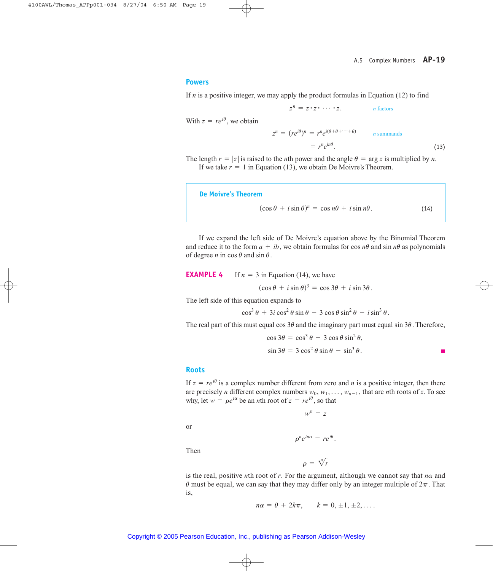#### **Powers**

If *n* is a positive integer, we may apply the product formulas in Equation (12) to find

$$
z^n = z \cdot z \cdot \cdots \cdot z.
$$
 n factors

With  $z = re^{i\theta}$ , we obtain

$$
z^{n} = (re^{i\theta})^{n} = r^{n}e^{i(\theta + \theta + \dots + \theta)}
$$
 *n* summands  
=  $r^{n}e^{in\theta}$ . (13)

The length  $r = |z|$  is raised to the *n*th power and the angle  $\theta = \arg z$  is multiplied by *n*. If we take  $r = 1$  in Equation (13), we obtain De Moivre's Theorem.

**De Moivre's Theorem**  $(\cos \theta + i \sin \theta)^n = \cos n\theta + i \sin n\theta.$  (14)

If we expand the left side of De Moivre's equation above by the Binomial Theorem and reduce it to the form  $a + ib$ , we obtain formulas for cos  $n\theta$  and sin  $n\theta$  as polynomials of degree *n* in  $\cos \theta$  and  $\sin \theta$ .

## **EXAMPLE 4** If  $n = 3$  in Equation (14), we have

 $(\cos \theta + i \sin \theta)^3 = \cos 3\theta + i \sin 3\theta.$ 

The left side of this equation expands to

$$
\cos^3\theta + 3i\cos^2\theta\sin\theta - 3\cos\theta\sin^2\theta - i\sin^3\theta.
$$

The real part of this must equal cos  $3\theta$  and the imaginary part must equal sin  $3\theta$ . Therefore,

$$
\cos 3\theta = \cos^3 \theta - 3 \cos \theta \sin^2 \theta,
$$
  

$$
\sin 3\theta = 3 \cos^2 \theta \sin \theta - \sin^3 \theta.
$$

#### **Roots**

If  $z = re^{i\theta}$  is a complex number different from zero and *n* is a positive integer, then there are precisely *n* different complex numbers  $w_0, w_1, \ldots, w_{n-1}$ , that are *n*th roots of *z*. To see why, let  $w = \rho e^{i\alpha}$  be an *n*th root of  $z = re^{i\theta}$ , so that

 $w^n = z$ 

or

Then

 $\rho^n e^{in\alpha} = r e^{i\theta}$ .

 $\rho = \sqrt[n]{r}$ 

is the real, positive *n*th root of *r*. For the argument, although we cannot say that  $n\alpha$  and  $\theta$  must be equal, we can say that they may differ only by an integer multiple of  $2\pi$ . That is,

$$
n\alpha = \theta + 2k\pi, \qquad k = 0, \pm 1, \pm 2, \ldots.
$$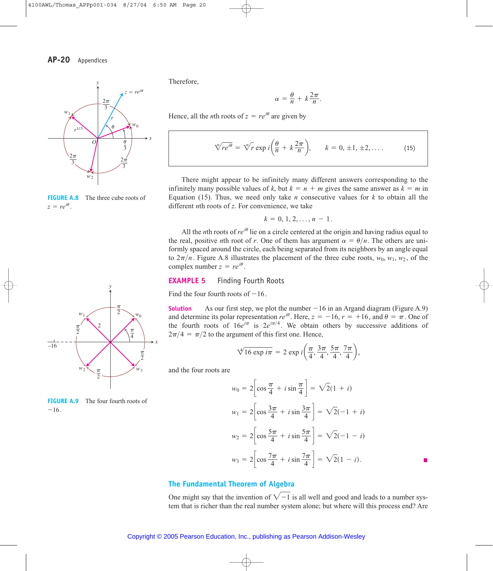

**FIGURE A.8** The three cube roots of  $z = re^{i\theta}$ .

Therefore,

$$
\alpha = \frac{\theta}{n} + k \frac{2\pi}{n}.
$$

Hence, all the *n*th roots of  $z = re^{i\theta}$  are given by

$$
\sqrt[n]{re^{i\theta}} = \sqrt[n]{r} \exp i\left(\frac{\theta}{n} + k\frac{2\pi}{n}\right), \qquad k = 0, \pm 1, \pm 2, \dots \tag{15}
$$

There might appear to be infinitely many different answers corresponding to the infinitely many possible values of k, but  $k = n + m$  gives the same answer as  $k = m$  in Equation (15). Thus, we need only take *n* consecutive values for  $k$  to obtain all the different *n*th roots of *z*. For convenience, we take

$$
k = 0, 1, 2, \ldots, n - 1.
$$

All the *n*th roots of  $re^{i\theta}$  lie on a circle centered at the origin and having radius equal to the real, positive *n*th root of *r*. One of them has argument  $\alpha = \theta/n$ . The others are uniformly spaced around the circle, each being separated from its neighbors by an angle equal to  $2\pi/n$ . Figure A.8 illustrates the placement of the three cube roots,  $w_0$ ,  $w_1$ ,  $w_2$ , of the complex number  $z = re^{i\theta}$ .

### **EXAMPLE 5** Finding Fourth Roots

Find the four fourth roots of  $-16$ .

**Solution** As our first step, we plot the number  $-16$  in an Argand diagram (Figure A.9) and determine its polar representation  $re^{i\theta}$ . Here,  $z = -16$ ,  $r = +16$ , and  $\theta = \pi$ . One of the fourth roots of  $16e^{i\pi}$  is  $2e^{i\pi/4}$ . We obtain others by successive additions of  $2\pi/4 = \pi/2$  to the argument of this first one. Hence,

$$
\sqrt[4]{16 \exp i\pi} = 2 \exp i\left(\frac{\pi}{4}, \frac{3\pi}{4}, \frac{5\pi}{4}, \frac{7\pi}{4}\right),\,
$$

and the four roots are

$$
w_0 = 2\left[\cos\frac{\pi}{4} + i\sin\frac{\pi}{4}\right] = \sqrt{2}(1 + i)
$$
  
\n
$$
w_1 = 2\left[\cos\frac{3\pi}{4} + i\sin\frac{3\pi}{4}\right] = \sqrt{2}(-1 + i)
$$
  
\n
$$
w_2 = 2\left[\cos\frac{5\pi}{4} + i\sin\frac{5\pi}{4}\right] = \sqrt{2}(-1 - i)
$$
  
\n
$$
w_3 = 2\left[\cos\frac{7\pi}{4} + i\sin\frac{7\pi}{4}\right] = \sqrt{2}(1 - i).
$$

## **The Fundamental Theorem of Algebra**

One might say that the invention of  $\sqrt{-1}$  is all well and good and leads to a number system that is richer than the real number system alone; but where will this process end? Are



**FIGURE A.9** The four fourth roots of  $-16$ .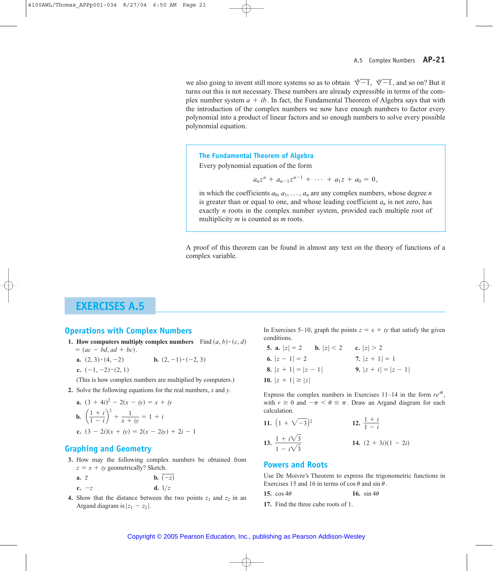we also going to invent still more systems so as to obtain  $\sqrt[4]{-1}$ ,  $\sqrt[6]{-1}$ , and so on? But it turns out this is not necessary. These numbers are already expressible in terms of the complex number system  $a + ib$ . In fact, the Fundamental Theorem of Algebra says that with the introduction of the complex numbers we now have enough numbers to factor every polynomial into a product of linear factors and so enough numbers to solve every possible polynomial equation.

**The Fundamental Theorem of Algebra**

Every polynomial equation of the form

$$
a_n z^n + a_{n-1} z^{n-1} + \cdots + a_1 z + a_0 = 0,
$$

in which the coefficients  $a_0, a_1, \ldots, a_n$  are any complex numbers, whose degree *n* is greater than or equal to one, and whose leading coefficient  $a_n$  is not zero, has exactly *n* roots in the complex number system, provided each multiple root of multiplicity *m* is counted as *m* roots.

A proof of this theorem can be found in almost any text on the theory of functions of a complex variable.

# **EXERCISES A.5**

## **Operations with Complex Numbers**

- **1.** How computers multiply complex numbers  $\text{Find } (a, b) \cdot (c, d)$ 
	- $= (ac bd, ad + bc).$
	- **a.**  $(2, 3) \cdot (4, -2)$ **b.**  $(2, -1) \cdot (-2, 3)$
	- **c.**  $(-1, -2) \cdot (2, 1)$

(This is how complex numbers are multiplied by computers.)

**2.** Solve the following equations for the real numbers, *x* and *y*.

**a.** 
$$
(3 + 4i)^2 - 2(x - iy) = x + iy
$$
  
\n**b.**  $\left(\frac{1+i}{1-i}\right)^2 + \frac{1}{x + iy} = 1 + i$   
\n**c.**  $(3 - 2i)(x + iy) = 2(x - 2iy) + 2i - 1$ 

## **Graphing and Geometry**

**3.** How may the following complex numbers be obtained from  $z = x + iy$  geometrically? Sketch.

**a.** 
$$
\bar{z}
$$
 **b.**  $\overline{(-z)}$   
**c.**  $-z$  **d.**  $1/z$ 

**4.** Show that the distance between the two points  $z_1$  and  $z_2$  in an Argand diagram is  $|z_1 - z_2|$ .

In Exercises 5–10, graph the points  $z = x + iy$  that satisfy the given conditions.

**5. a.** 
$$
|z| = 2
$$
 **b.**  $|z| < 2$  **c.**  $|z| > 2$   
\n**6.**  $|z - 1| = 2$  **7.**  $|z + 1| = 1$   
\n**8.**  $|z + 1| = |z - 1|$  **9.**  $|z + i| = |z - 1|$   
\n**10.**  $|z + 1| \ge |z|$ 

Express the complex numbers in Exercises  $11-14$  in the form  $re^{i\theta}$ , with  $r \ge 0$  and  $-\pi < \theta \le \pi$ . Draw an Argand diagram for each calculation.

**11.** 
$$
(1 + \sqrt{-3})^2
$$
  
\n**12.**  $\frac{1+i}{1-i}$   
\n**13.**  $\frac{1+i\sqrt{3}}{1-i\sqrt{3}}$   
\n**14.**  $(2 + 3i)(1 - 2i)$ 

## **Powers and Roots**

Use De Moivre's Theorem to express the trigonometric functions in Exercises 15 and 16 in terms of  $\cos \theta$  and  $\sin \theta$ .

- 15.  $\cos 4\theta$ 16. sin  $4\theta$
- **17.** Find the three cube roots of 1.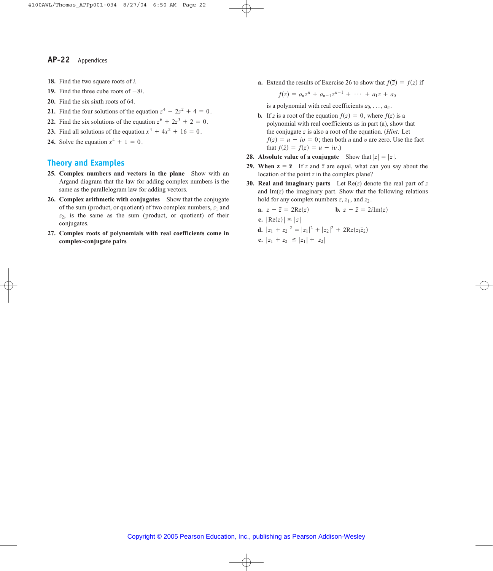- **18.** Find the two square roots of *i*.
- **19.** Find the three cube roots of  $-8i$ .
- **20.** Find the six sixth roots of 64.
- **21.** Find the four solutions of the equation  $z^4 2z^2 + 4 = 0$ .
- **22.** Find the six solutions of the equation  $z^6 + 2z^3 + 2 = 0$ .
- **23.** Find all solutions of the equation  $x^4 + 4x^2 + 16 = 0$ .
- **24.** Solve the equation  $x^4 + 1 = 0$ .

## **Theory and Examples**

- **25. Complex numbers and vectors in the plane** Show with an Argand diagram that the law for adding complex numbers is the same as the parallelogram law for adding vectors.
- **26. Complex arithmetic with conjugates** Show that the conjugate of the sum (product, or quotient) of two complex numbers,  $z_1$  and , is the same as the sum (product, or quotient) of their *z*2 conjugates.
- **27. Complex roots of polynomials with real coefficients come in complex-conjugate pairs**

**a.** Extend the results of Exercise 26 to show that  $f(\overline{z}) = \overline{f(z)}$  if

$$
f(z) = a_n z^n + a_{n-1} z^{n-1} + \cdots + a_1 z + a_0
$$

is a polynomial with real coefficients  $a_0, \ldots, a_n$ .

- **b.** If *z* is a root of the equation  $f(z) = 0$ , where  $f(z)$  is a polynomial with real coefficients as in part (a), show that the conjugate  $\bar{z}$  is also a root of the equation. (*Hint*: Let  $f(z) = u + iv = 0$ ; then both *u* and *v* are zero. Use the fact that  $f(\overline{z}) = \overline{f(z)} = u - iv.$
- **28.** Absolute value of a conjugate Show that  $|\bar{z}| = |z|$ .
- **29.** When  $z = \overline{z}$  If z and  $\overline{z}$  are equal, what can you say about the location of the point *z* in the complex plane?
- **30. Real and imaginary parts** Let Re(*z*) denote the real part of *z* and Im(*z*) the imaginary part. Show that the following relations hold for any complex numbers  $z$ ,  $z_1$ , and  $z_2$ .

**a.** 
$$
z + \overline{z} = 2\text{Re}(z)
$$
 **b.**  $z - \overline{z} = 2i\text{Im}(z)$   
\n**c.**  $|\text{Re}(z)| \le |z|$   
\n**d.**  $|z_1 + z_2|^2 = |z_1|^2 + |z_2|^2 + 2\text{Re}(z_1\overline{z}_2)$   
\n**e.**  $|z_1 + z_2| \le |z_1| + |z_2|$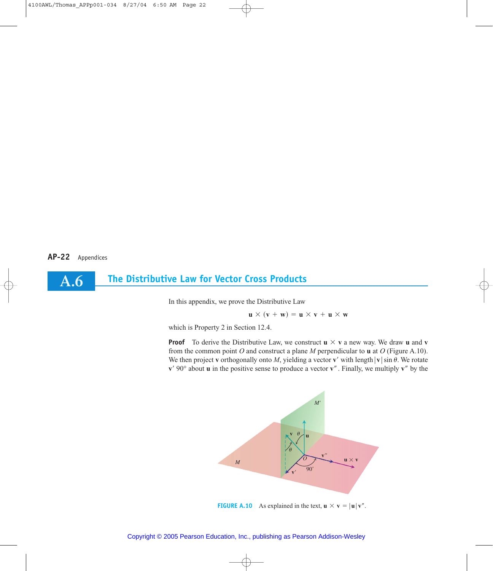**A.6**

## **The Distributive Law for Vector Cross Products**

In this appendix, we prove the Distributive Law

$$
\mathbf{u} \times (\mathbf{v} + \mathbf{w}) = \mathbf{u} \times \mathbf{v} + \mathbf{u} \times \mathbf{w}
$$

which is Property 2 in Section 12.4.

**Proof** To derive the Distributive Law, we construct  $\mathbf{u} \times \mathbf{v}$  a new way. We draw **u** and **v** from the common point *O* and construct a plane *M* perpendicular to **u** at *O* (Figure A.10). We then project **v** orthogonally onto *M*, yielding a vector **v**' with length  $|{\bf v}| \sin \theta$ . We rotate  $v'$  90° about **u** in the positive sense to produce a vector  $v''$ . Finally, we multiply  $v''$  by the



### Copyright © 2005 Pearson Education, Inc., publishing as Pearson Addison-Wesley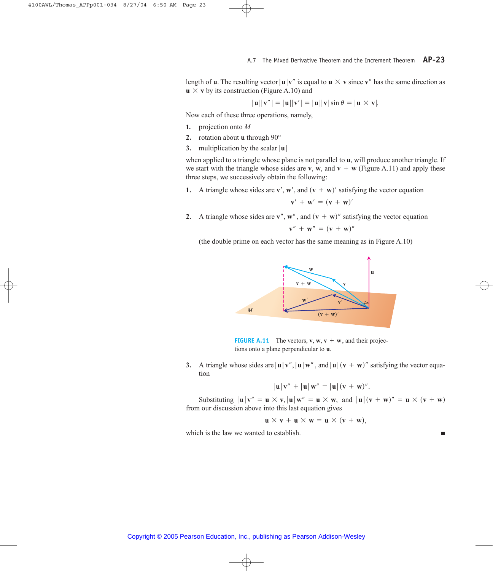length of **u**. The resulting vector  $|\mathbf{u}| \mathbf{v}^{\prime\prime}$  is equal to  $\mathbf{u} \times \mathbf{v}$  since  $\mathbf{v}^{\prime\prime}$  has the same direction as  $\mathbf{u} \times \mathbf{v}$  by its construction (Figure A.10) and

$$
|\mathbf{u}||\mathbf{v}''| = |\mathbf{u}||\mathbf{v}'| = |\mathbf{u}||\mathbf{v}|\sin\theta = |\mathbf{u} \times \mathbf{v}|.
$$

Now each of these three operations, namely,

- **1.** projection onto *M*
- **2.** rotation about **u** through 90°
- **3.** multiplication by the scalar  $|\mathbf{u}|$

when applied to a triangle whose plane is not parallel to **u**, will produce another triangle. If we start with the triangle whose sides are **v**, **w**, and  $\mathbf{v} + \mathbf{w}$  (Figure A.11) and apply these three steps, we successively obtain the following:

**1.** A triangle whose sides are  $\mathbf{v}'$ ,  $\mathbf{w}'$ , and  $(\mathbf{v} + \mathbf{w})'$  satisfying the vector equation

$$
\mathbf{v}' + \mathbf{w}' = (\mathbf{v} + \mathbf{w})'
$$

**2.** A triangle whose sides are  $v''$ ,  $w''$ , and  $(v + w)''$  satisfying the vector equation

$$
\mathbf{v}'' + \mathbf{w}'' = (\mathbf{v} + \mathbf{w})''
$$

(the double prime on each vector has the same meaning as in Figure A.10)



**FIGURE A.11** The vectors,  $v, w, v + w$ , and their projections onto a plane perpendicular to **u**.

**3.** A triangle whose sides are  $|\mathbf{u}| \mathbf{v}'$ ,  $|\mathbf{u}| \mathbf{w}''$ , and  $|\mathbf{u}| (\mathbf{v} + \mathbf{w})''$  satisfying the vector equation

$$
|\mathbf{u}|\mathbf{v}'' + |\mathbf{u}|\mathbf{w}'' = |\mathbf{u}|(\mathbf{v} + \mathbf{w})''.
$$

Substituting  $|\mathbf{u}| \mathbf{v}'' = \mathbf{u} \times \mathbf{v}, |\mathbf{u}| \mathbf{w}'' = \mathbf{u} \times \mathbf{w}, \text{ and } |\mathbf{u}| (\mathbf{v} + \mathbf{w})'' = \mathbf{u} \times (\mathbf{v} + \mathbf{w})$ from our discussion above into this last equation gives

$$
\mathbf{u} \times \mathbf{v} + \mathbf{u} \times \mathbf{w} = \mathbf{u} \times (\mathbf{v} + \mathbf{w}),
$$

which is the law we wanted to establish.

п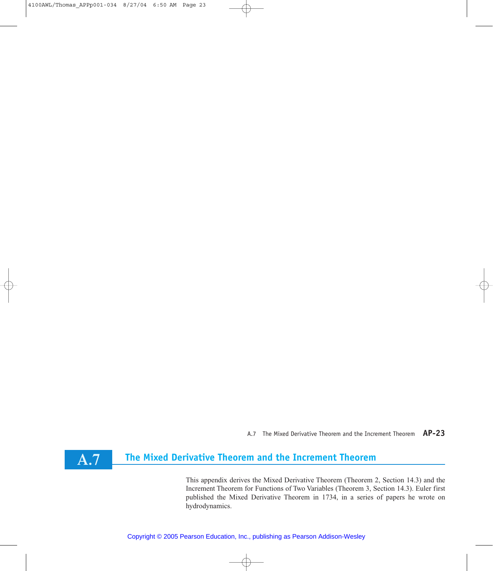A.7 The Mixed Derivative Theorem and the Increment Theorem **AP-23**

# **The Mixed Derivative Theorem and the Increment Theorem**

**A.7**

This appendix derives the Mixed Derivative Theorem (Theorem 2, Section 14.3) and the Increment Theorem for Functions of Two Variables (Theorem 3, Section 14.3). Euler first published the Mixed Derivative Theorem in 1734, in a series of papers he wrote on hydrodynamics.

Copyright © 2005 Pearson Education, Inc., publishing as Pearson Addison-Wesley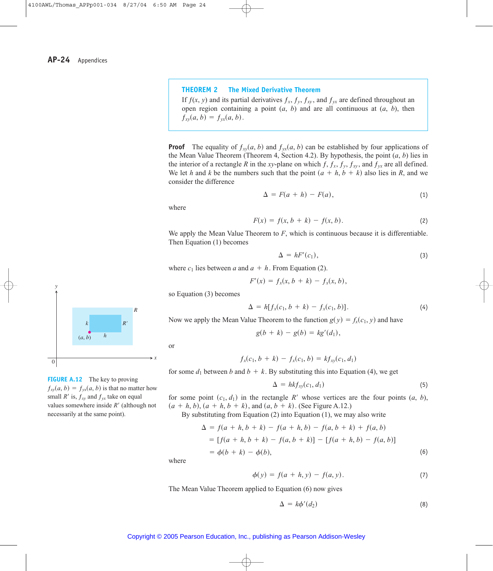#### **THEOREM 2 The Mixed Derivative Theorem**

If  $f(x, y)$  and its partial derivatives  $f_x$ ,  $f_y$ ,  $f_{xy}$ , and  $f_{yx}$  are defined throughout an open region containing a point  $(a, b)$  and are all continuous at  $(a, b)$ , then  $f_{xy}(a, b) = f_{yx}(a, b).$ 

**Proof** The equality of  $f_{xy}(a, b)$  and  $f_{yx}(a, b)$  can be established by four applications of the Mean Value Theorem (Theorem 4, Section 4.2). By hypothesis, the point (*a*, *b*) lies in the interior of a rectangle R in the *xy*-plane on which  $f$ ,  $f_x$ ,  $f_y$ ,  $f_{xy}$ , and  $f_{yx}$  are all defined. We let *h* and *k* be the numbers such that the point  $(a + h, b + k)$  also lies in *R*, and we consider the difference

$$
\Delta = F(a+h) - F(a), \tag{1}
$$

where

$$
F(x) = f(x, b + k) - f(x, b).
$$
 (2)

We apply the Mean Value Theorem to *F*, which is continuous because it is differentiable. Then Equation (1) becomes

$$
\Delta = hF'(c_1),\tag{3}
$$

where  $c_1$  lies between  $a$  and  $a + h$ . From Equation (2).

$$
F'(x) = f_x(x, b + k) - f_x(x, b),
$$

so Equation (3) becomes

$$
\Delta = h[f_x(c_1, b + k) - f_x(c_1, b)]. \tag{4}
$$

Now we apply the Mean Value Theorem to the function  $g(y) = f_x(c_1, y)$  and have

$$
g(b + k) - g(b) = kg'(d_1),
$$

$$
\overline{\text{or}}
$$

*x*

$$
f_x(c_1, b + k) - f_x(c_1, b) = k f_{xy}(c_1, d_1)
$$

for some  $d_1$  between  $b$  and  $b + k$ . By substituting this into Equation (4), we get

$$
\Delta = h k f_{xy}(c_1, d_1) \tag{5}
$$

for some point  $(c_1, d_1)$  in the rectangle R' whose vertices are the four points  $(a, b)$ ,  $(a + h, b), (a + h, b + k),$  and  $(a, b + k)$ . (See Figure A.12.)

By substituting from Equation (2) into Equation (1), we may also write

$$
\Delta = f(a + h, b + k) - f(a + h, b) - f(a, b + k) + f(a, b)
$$
  
=  $[f(a + h, b + k) - f(a, b + k)] - [f(a + h, b) - f(a, b)]$   
=  $\phi(b + k) - \phi(b)$ , (6)

where

$$
\phi(y) = f(a + h, y) - f(a, y).
$$
 (7)

The Mean Value Theorem applied to Equation (6) now gives

$$
\Delta = k\phi'(d_2) \tag{8}
$$





*y*

**FIGURE A.12** The key to proving  $f_{xy}(a, b) = f_{yx}(a, b)$  is that no matter how small  $R'$  is,  $f_{xy}$  and  $f_{yx}$  take on equal values somewhere inside R' (although not necessarily at the same point).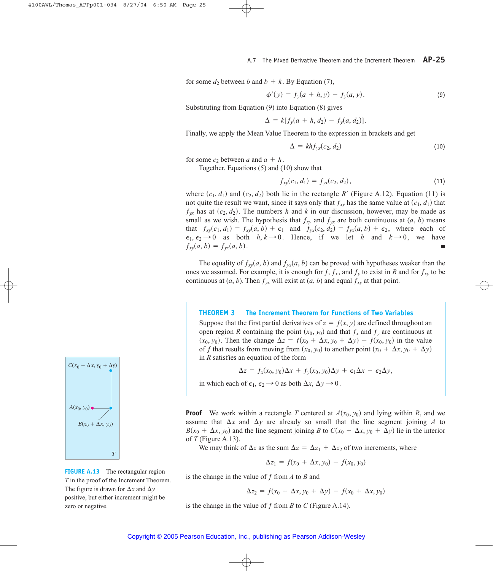for some  $d_2$  between *b* and  $b + k$ . By Equation (7),

$$
\phi'(y) = f_y(a+h, y) - f_y(a, y).
$$
\n(9)

Substituting from Equation (9) into Equation (8) gives

$$
\Delta = k[f_y(a+h, d_2) - f_y(a, d_2)].
$$

Finally, we apply the Mean Value Theorem to the expression in brackets and get

$$
\Delta = kh f_{yx}(c_2, d_2) \tag{10}
$$

for some  $c_2$  between *a* and  $a + h$ .

Together, Equations (5) and (10) show that

$$
f_{xy}(c_1, d_1) = f_{yx}(c_2, d_2), \qquad (11)
$$

where  $(c_1, d_1)$  and  $(c_2, d_2)$  both lie in the rectangle R' (Figure A.12). Equation (11) is not quite the result we want, since it says only that  $f_{xy}$  has the same value at  $(c_1, d_1)$  that  $f_{yx}$  has at  $(c_2, d_2)$ . The numbers *h* and *k* in our discussion, however, may be made as small as we wish. The hypothesis that  $f_{xy}$  and  $f_{yx}$  are both continuous at  $(a, b)$  means that  $f_{xy}(c_1, d_1) = f_{xy}(a, b) + \epsilon_1$  and  $f_{yx}(c_2, d_2) = f_{yx}(a, b) + \epsilon_2$ , where each of  $\epsilon_1, \epsilon_2 \rightarrow 0$  as both  $h, k \rightarrow 0$ . Hence, if we let *h* and  $k \rightarrow 0$ , we have  $f_{xy}(a, b) = f_{yx}(a, b).$ 

The equality of  $f_{xy}(a, b)$  and  $f_{yx}(a, b)$  can be proved with hypotheses weaker than the ones we assumed. For example, it is enough for  $f$ ,  $f_x$ , and  $f_y$  to exist in *R* and for  $f_{xy}$  to be continuous at  $(a, b)$ . Then  $f_{yx}$  will exist at  $(a, b)$  and equal  $f_{xy}$  at that point.

#### **THEOREM 3 The Increment Theorem for Functions of Two Variables**

Suppose that the first partial derivatives of  $z = f(x, y)$  are defined throughout an open region *R* containing the point  $(x_0, y_0)$  and that  $f_x$  and  $f_y$  are continuous at  $(x_0, y_0)$ . Then the change  $\Delta z = f(x_0 + \Delta x, y_0 + \Delta y) - f(x_0, y_0)$  in the value of f that results from moving from  $(x_0, y_0)$  to another point  $(x_0 + \Delta x, y_0 + \Delta y)$ in *R* satisfies an equation of the form

 $\Delta z = f_x(x_0, y_0) \Delta x + f_y(x_0, y_0) \Delta y + \epsilon_1 \Delta x + \epsilon_2 \Delta y,$ 

in which each of  $\epsilon_1$ ,  $\epsilon_2 \rightarrow 0$  as both  $\Delta x$ ,  $\Delta y \rightarrow 0$ .

**Proof** We work within a rectangle *T* centered at  $A(x_0, y_0)$  and lying within *R*, and we assume that  $\Delta x$  and  $\Delta y$  are already so small that the line segment joining A to  $B(x_0 + \Delta x, y_0)$  and the line segment joining *B* to  $C(x_0 + \Delta x, y_0 + \Delta y)$  lie in the interior of *T* (Figure A.13).

We may think of  $\Delta z$  as the sum  $\Delta z = \Delta z_1 + \Delta z_2$  of two increments, where

$$
\Delta z_1 = f(x_0 + \Delta x, y_0) - f(x_0, y_0)
$$

is the change in the value of *ƒ* from *A* to *B* and

$$
\Delta z_2 = f(x_0 + \Delta x, y_0 + \Delta y) - f(x_0 + \Delta x, y_0)
$$

is the change in the value of *ƒ* from *B* to *C* (Figure A.14).



**FIGURE A.13** The rectangular region *T* in the proof of the Increment Theorem. The figure is drawn for  $\Delta x$  and  $\Delta y$ positive, but either increment might be zero or negative.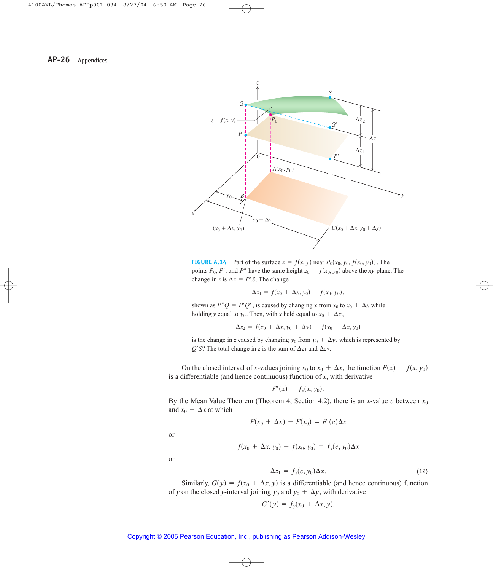

**FIGURE A.14** Part of the surface  $z = f(x, y)$  near  $P_0(x_0, y_0, f(x_0, y_0))$ . The points  $P_0$ ,  $P'$ , and  $P''$  have the same height  $z_0 = f(x_0, y_0)$  above the *xy*-plane. The change in *z* is  $\Delta z = P'S$ . The change

$$
\Delta z_1 = f(x_0 + \Delta x, y_0) - f(x_0, y_0),
$$

shown as  $P''Q = P'Q'$ , is caused by changing *x* from  $x_0$  to  $x_0 + \Delta x$  while holding *y* equal to  $y_0$ . Then, with *x* held equal to  $x_0 + \Delta x$ ,

$$
\Delta z_2 = f(x_0 + \Delta x, y_0 + \Delta y) - f(x_0 + \Delta x, y_0)
$$

is the change in *z* caused by changing  $y_0$  from  $y_0 + \Delta y$ , which is represented by  $Q'S$ ? The total change in *z* is the sum of  $\Delta z_1$  and  $\Delta z_2$ .

On the closed interval of *x*-values joining  $x_0$  to  $x_0 + \Delta x$ , the function  $F(x) = f(x, y_0)$ is a differentiable (and hence continuous) function of *x*, with derivative

$$
F'(x) = f_x(x, y_0).
$$

By the Mean Value Theorem (Theorem 4, Section 4.2), there is an *x*-value *c* between  $x_0$ and  $x_0 + \Delta x$  at which

$$
F(x_0 + \Delta x) - F(x_0) = F'(c)\Delta x
$$

or

$$
f(x_0 + \Delta x, y_0) - f(x_0, y_0) = f_x(c, y_0) \Delta x
$$

or

$$
\Delta z_1 = f_x(c, y_0) \Delta x. \tag{12}
$$

Similarly,  $G(y) = f(x_0 + \Delta x, y)$  is a differentiable (and hence continuous) function of *y* on the closed *y*-interval joining  $y_0$  and  $y_0 + \Delta y$ , with derivative

$$
G'(y) = f_y(x_0 + \Delta x, y).
$$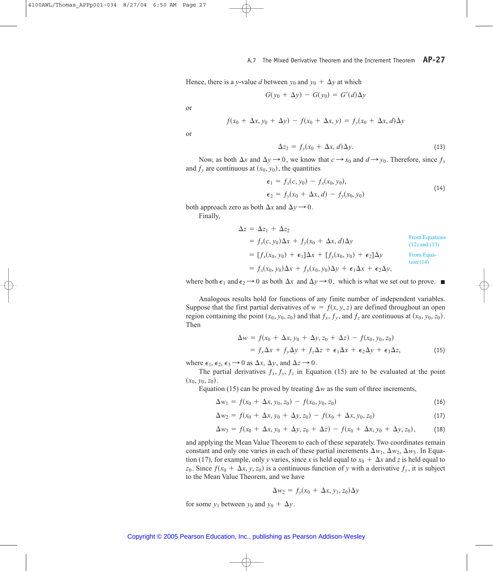Hence, there is a *y*-value *d* between  $y_0$  and  $y_0 + \Delta y$  at which

$$
G(y_0 + \Delta y) - G(y_0) = G'(d)\Delta y
$$

or

$$
f(x_0 + \Delta x, y_0 + \Delta y) - f(x_0 + \Delta x, y) = f_y(x_0 + \Delta x, d)\Delta y
$$

or

$$
\Delta z_2 = f_y(x_0 + \Delta x, d)\Delta y. \tag{13}
$$

Now, as both  $\Delta x$  and  $\Delta y \rightarrow 0$ , we know that  $c \rightarrow x_0$  and  $d \rightarrow y_0$ . Therefore, since  $f_x$ and  $f_y$  are continuous at  $(x_0, y_0)$ , the quantities

$$
\epsilon_1 = f_x(c, y_0) - f_x(x_0, y_0), \n\epsilon_2 = f_y(x_0 + \Delta x, d) - f_y(x_0, y_0)
$$
\n(14)

both approach zero as both  $\Delta x$  and  $\Delta y \rightarrow 0$ .

Finally,

$$
\Delta z = \Delta z_1 + \Delta z_2
$$
  
\n
$$
= f_x(c, y_0)\Delta x + f_y(x_0 + \Delta x, d)\Delta y
$$
  
\nFrom Equations  
\n(12) and (13)  
\n
$$
= [f_x(x_0, y_0) + \epsilon_1]\Delta x + [f_y(x_0, y_0) + \epsilon_2]\Delta y
$$
  
\nFrom Equations  
\n(14)  
\nFrom Equations  
\n
$$
f_x(x_0, y_0)\Delta x + f_y(x_0, y_0)\Delta y + \epsilon_1\Delta x + \epsilon_2\Delta y,
$$

where both  $\epsilon_1$  and  $\epsilon_2 \rightarrow 0$  as both  $\Delta x$  and  $\Delta y \rightarrow 0$ , which is what we set out to prove.

Analogous results hold for functions of any finite number of independent variables. Suppose that the first partial derivatives of  $w = f(x, y, z)$  are defined throughout an open region containing the point  $(x_0, y_0, z_0)$  and that  $f_x$ ,  $f_y$ , and  $f_z$  are continuous at  $(x_0, y_0, z_0)$ . Then

$$
\Delta w = f(x_0 + \Delta x, y_0 + \Delta y, z_0 + \Delta z) - f(x_0, y_0, z_0)
$$
  
=  $f_x \Delta x + f_y \Delta y + f_z \Delta z + \epsilon_1 \Delta x + \epsilon_2 \Delta y + \epsilon_3 \Delta z,$  (15)

where  $\epsilon_1$ ,  $\epsilon_2$ ,  $\epsilon_3 \rightarrow 0$  as  $\Delta x$ ,  $\Delta y$ , and  $\Delta z \rightarrow 0$ .

The partial derivatives  $f_x, f_y, f_z$  in Equation (15) are to be evaluated at the point  $(x_0, y_0, z_0)$ .

Equation (15) can be proved by treating  $\Delta w$  as the sum of three increments,

$$
\Delta w_1 = f(x_0 + \Delta x, y_0, z_0) - f(x_0, y_0, z_0)
$$
\n(16)

$$
\Delta w_2 = f(x_0 + \Delta x, y_0 + \Delta y, z_0) - f(x_0 + \Delta x, y_0, z_0)
$$
\n(17)

$$
\Delta w_3 = f(x_0 + \Delta x, y_0 + \Delta y, z_0 + \Delta z) - f(x_0 + \Delta x, y_0 + \Delta y, z_0),
$$
 (18)

and applying the Mean Value Theorem to each of these separately. Two coordinates remain constant and only one varies in each of these partial increments  $\Delta w_1$ ,  $\Delta w_2$ ,  $\Delta w_3$ . In Equation (17), for example, only *y* varies, since *x* is held equal to  $x_0 + \Delta x$  and *z* is held equal to  $z_0$ . Since  $f(x_0 + \Delta x, y, z_0)$  is a continuous function of *y* with a derivative  $f_y$ , it is subject to the Mean Value Theorem, and we have

$$
\Delta w_2 = f_y(x_0 + \Delta x, y_1, z_0) \Delta y
$$

for some  $y_1$  between  $y_0$  and  $y_0 + \Delta y$ .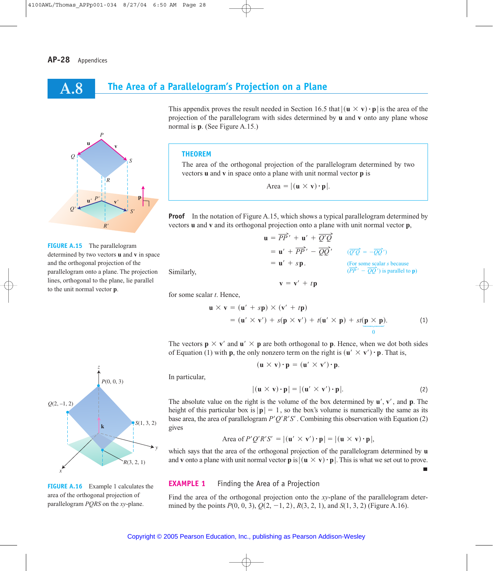**A.8**

## **The Area of a Parallelogram's Projection on a Plane**



**FIGURE A.15** The parallelogram determined by two vectors **u** and **v** in space and the orthogonal projection of the parallelogram onto a plane. The projection lines, orthogonal to the plane, lie parallel to the unit normal vector **p**.

*P*(0, 0, 3)  $S(1, 3, 2)$ *R*(3, 2, 1) *Q*(2, –1, 2) **k** *z x y*

**FIGURE A.16** Example 1 calculates the area of the orthogonal projection of parallelogram *PQRS* on the *xy*-plane.

This appendix proves the result needed in Section 16.5 that  $|(\mathbf{u} \times \mathbf{v}) \cdot \mathbf{p}|$  is the area of the projection of the parallelogram with sides determined by **u** and **v** onto any plane whose normal is **p**. (See Figure A.15.)

#### **THEOREM**

The area of the orthogonal projection of the parallelogram determined by two vectors **u** and **v** in space onto a plane with unit normal vector **p** is

$$
Area = |(\mathbf{u} \times \mathbf{v}) \cdot \mathbf{p}|.
$$

**Proof** In the notation of Figure A.15, which shows a typical parallelogram determined by vectors **u** and **v** and its orthogonal projection onto a plane with unit normal vector **p**,

 $\mathbf{u} = \overrightarrow{PP}' + \mathbf{u}' + \overrightarrow{Q'Q}$ 

 $\mathbf{v} = \mathbf{v}' + t\mathbf{p}$ 

 $=$ **u**' + *s***p**.

Similarly,

for some scalar *t*. Hence,

$$
\mathbf{u} \times \mathbf{v} = (\mathbf{u}' + s\mathbf{p}) \times (\mathbf{v}' + t\mathbf{p})
$$
  
=  $(\mathbf{u}' \times \mathbf{v}') + s(\mathbf{p} \times \mathbf{v}') + t(\mathbf{u}' \times \mathbf{p}) + st(\mathbf{p} \times \mathbf{p}).$  (1)

 $= \mathbf{u}' + \overrightarrow{PP}' - \overrightarrow{QQ}'$   $(\overrightarrow{Q'Q}) = -\overrightarrow{QQ}'$ 

(For some scalar *s* because<br> $(\overline{PP'} - \overline{QQ'}')$  is parallel to **p**)

П

The vectors  $\mathbf{p} \times \mathbf{v}'$  and  $\mathbf{u}' \times \mathbf{p}$  are both orthogonal to  $\mathbf{p}$ . Hence, when we dot both sides The vectors  $\mathbf{p} \times \mathbf{v}$  and  $\mathbf{u} \times \mathbf{p}$  are both orthogonal to **p**. Hence, when we dot both Equation (1) with **p**, the only nonzero term on the right is  $(\mathbf{u}' \times \mathbf{v}') \cdot \mathbf{p}$ . That is,

$$
(\mathbf{u} \times \mathbf{v}) \cdot \mathbf{p} = (\mathbf{u}' \times \mathbf{v}') \cdot \mathbf{p}.
$$

In particular,

$$
|(\mathbf{u} \times \mathbf{v}) \cdot \mathbf{p}| = |(\mathbf{u}' \times \mathbf{v}') \cdot \mathbf{p}|.
$$
 (2)

The absolute value on the right is the volume of the box determined by  $\mathbf{u}'$ ,  $\mathbf{v}'$ , and  $\mathbf{p}$ . The height of this particular box is  $|\mathbf{p}| = 1$ , so the box's volume is numerically the same as its base area, the area of parallelogram  $P'Q'R'S'$ . Combining this observation with Equation (2) gives

Area of 
$$
P'Q'R'S' = |(\mathbf{u}' \times \mathbf{v}') \cdot \mathbf{p}| = |(\mathbf{u} \times \mathbf{v}) \cdot \mathbf{p}|,
$$

which says that the area of the orthogonal projection of the parallelogram determined by **u** which says that the area of the orthogonal projection of the parallelogram determined by **u** and **v** onto a plane with unit normal vector **p** is  $|(\mathbf{u} \times \mathbf{v}) \cdot \mathbf{p}|$ . This is what we set out to prove.

### **EXAMPLE 1** Finding the Area of a Projection

Find the area of the orthogonal projection onto the *xy*-plane of the parallelogram determined by the points  $P(0, 0, 3), Q(2, -1, 2), R(3, 2, 1),$  and  $S(1, 3, 2)$  (Figure A.16).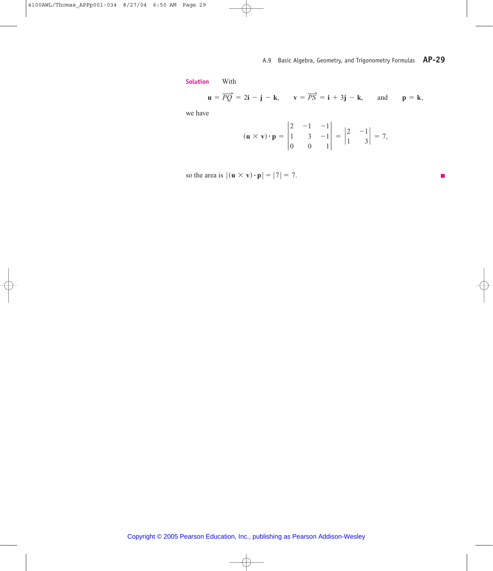**Solution** With

$$
\mathbf{u} = \overrightarrow{PQ} = 2\mathbf{i} - \mathbf{j} - \mathbf{k}, \qquad \mathbf{v} = \overrightarrow{PS} = \mathbf{i} + 3\mathbf{j} - \mathbf{k}, \qquad \text{and} \qquad \mathbf{p} = \mathbf{k},
$$

we have

$$
(\mathbf{u} \times \mathbf{v}) \cdot \mathbf{p} = \begin{vmatrix} 2 & -1 & -1 \\ 1 & 3 & -1 \\ 0 & 0 & 1 \end{vmatrix} = \begin{vmatrix} 2 & -1 \\ 1 & 3 \end{vmatrix} = 7,
$$

so the area is  $|(\mathbf{u} \times \mathbf{v}) \cdot \mathbf{p}| = |7| = 7$ .

П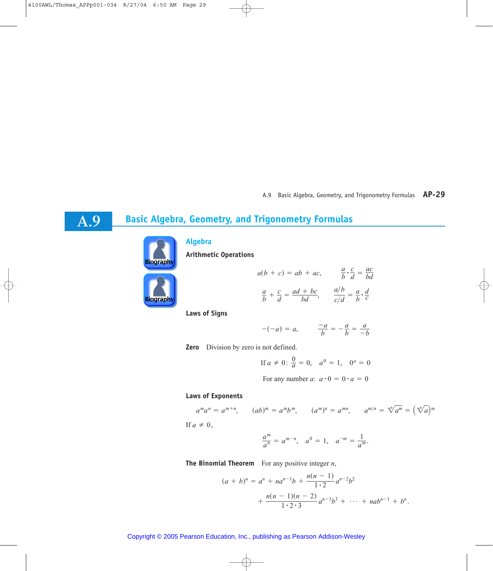# **Basic Algebra, Geometry, and Trigonometry Formulas**



**A.9**

## **Algebra**

**Arithmetic Operations**



$$
a(b + c) = ab + ac,
$$
  

$$
\frac{a}{b} \cdot \frac{c}{d} = \frac{ac}{bd}
$$
  

$$
\frac{a}{b} + \frac{c}{d} = \frac{ad + bc}{bd},
$$
  

$$
\frac{a/b}{c/d} = \frac{a}{b} \cdot \frac{d}{c}
$$

**Laws of Signs**

$$
-(-a) = a, \qquad \frac{-a}{b} = -\frac{a}{b} = \frac{a}{-b}
$$

**Zero** Division by zero is not defined.

If 
$$
a \neq 0
$$
:  $\frac{0}{a} = 0$ ,  $a^0 = 1$ ,  $0^a = 0$ 

For any number *a*:  $a \cdot 0 = 0 \cdot a = 0$ 

### **Laws of Exponents**

$$
a^m a^n = a^{m+n}, \qquad (ab)^m = a^m b^m, \qquad (a^m)^n = a^{mn}, \qquad a^{m/n} = \sqrt[n]{a^m} = (\sqrt[n]{a})^m
$$

If  $a \neq 0$ ,

$$
\frac{a^m}{a^n} = a^{m-n}, \quad a^0 = 1, \quad a^{-m} = \frac{1}{a^m}.
$$

**The Binomial Theorem** For any positive integer *n*,

$$
(a + b)^n = a^n + na^{n-1}b + \frac{n(n - 1)}{1 \cdot 2}a^{n-2}b^2 + \frac{n(n - 1)(n - 2)}{1 \cdot 2 \cdot 3}a^{n-3}b^3 + \dots + nab^{n-1} + b^n.
$$

### Copyright © 2005 Pearson Education, Inc., publishing as Pearson Addison-Wesley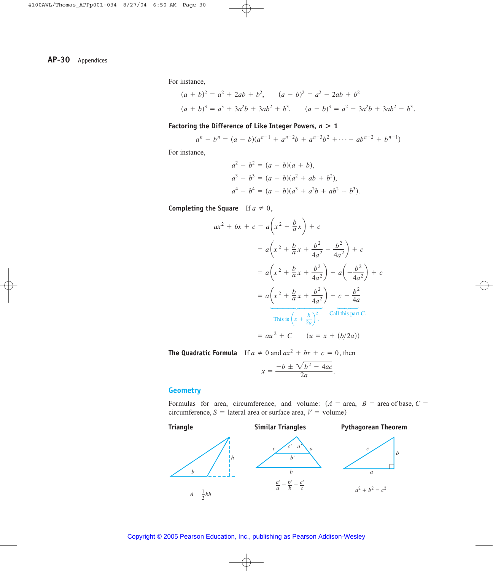For instance,

$$
(a + b)2 = a2 + 2ab + b2, \t(a - b)2 = a2 - 2ab + b2
$$
  

$$
(a + b)3 = a3 + 3a2b + 3ab2 + b3, \t(a - b)3 = a2 - 3a2b + 3ab2 - b3.
$$

#### **Factoring the Difference of Like Integer Powers,**  *n***>1**

$$
a^{n} - b^{n} = (a - b)(a^{n-1} + a^{n-2}b + a^{n-3}b^{2} + \cdots + ab^{n-2} + b^{n-1})
$$

For instance,

$$
a2 - b2 = (a - b)(a + b),
$$
  
\n
$$
a3 - b3 = (a - b)(a2 + ab + b2),
$$
  
\n
$$
a4 - b4 = (a - b)(a3 + a2b + ab2 + b3).
$$

**Completing the Square** If  $a \neq 0$ ,

$$
ax^{2} + bx + c = a\left(x^{2} + \frac{b}{a}x\right) + c
$$
  

$$
= a\left(x^{2} + \frac{b}{a}x + \frac{b^{2}}{4a^{2}} - \frac{b^{2}}{4a^{2}}\right) + c
$$
  

$$
= a\left(x^{2} + \frac{b}{a}x + \frac{b^{2}}{4a^{2}}\right) + a\left(-\frac{b^{2}}{4a^{2}}\right) + c
$$
  

$$
= a\left(x^{2} + \frac{b}{a}x + \frac{b^{2}}{4a^{2}}\right) + c - \frac{b^{2}}{4a}
$$
  

$$
= a\left(\frac{x^{2} + \frac{b}{a}x + \frac{b^{2}}{4a^{2}}\right)^{2} \cdot \frac{c}{\text{call this part } C.}
$$
  

$$
= au^{2} + C \quad (u = x + (b/2a))
$$

**The Quadratic Formula** If  $a \neq 0$  and  $ax^2 + bx + c = 0$ , then

$$
x = \frac{-b \pm \sqrt{b^2 - 4ac}}{2a}.
$$

### **Geometry**

Formulas for area, circumference, and volume:  $(A = \text{area}, B = \text{area of base}, C = \text{area})$ circumference,  $S =$  lateral area or surface area,  $V =$  volume)

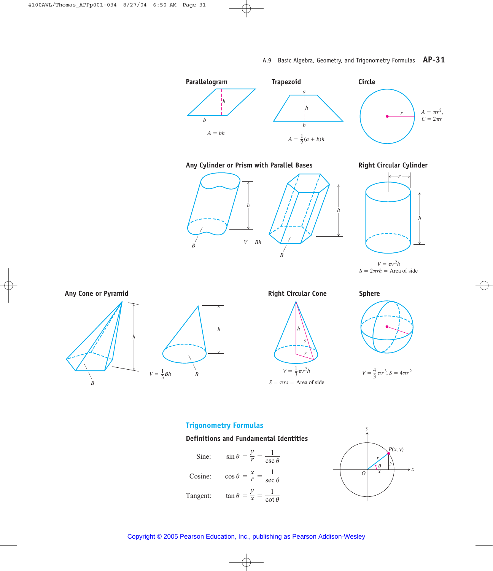

Any Cylinder or Prism with Parallel Bases **Right Circular Cylinder** 





 $V = \pi r^2 h$  $S = 2\pi rh =$  Area of side



*B*











## **Trigonometry Formulas**





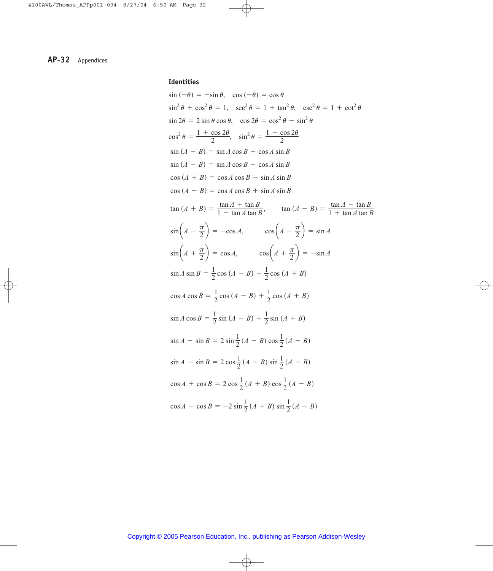## **Identities**

$$
\sin(-\theta) = -\sin \theta, \quad \cos(-\theta) = \cos \theta
$$
\n
$$
\sin^2 \theta + \cos^2 \theta = 1, \quad \sec^2 \theta = 1 + \tan^2 \theta, \quad \csc^2 \theta = 1 + \cot^2 \theta
$$
\n
$$
\sin 2\theta = 2 \sin \theta \cos \theta, \quad \cos 2\theta = \cos^2 \theta - \sin^2 \theta
$$
\n
$$
\cos^2 \theta = \frac{1 + \cos 2\theta}{2}, \quad \sin^2 \theta = \frac{1 - \cos 2\theta}{2}
$$
\n
$$
\sin (A + B) = \sin A \cos B + \cos A \sin B
$$
\n
$$
\sin (A - B) = \sin A \cos B - \cos A \sin B
$$
\n
$$
\cos (A + B) = \cos A \cos B + \sin A \sin B
$$
\n
$$
\cos (A - B) = \cos A \cos B + \sin A \sin B
$$
\n
$$
\tan (A + B) = \frac{\tan A + \tan B}{1 - \tan A \tan B}, \quad \tan (A - B) = \frac{\tan A - \tan B}{1 + \tan A \tan B}
$$
\n
$$
\sin \left( A - \frac{\pi}{2} \right) = -\cos A, \quad \cos \left( A - \frac{\pi}{2} \right) = \sin A
$$
\n
$$
\sin \left( A + \frac{\pi}{2} \right) = \cos A, \quad \cos \left( A + \frac{\pi}{2} \right) = -\sin A
$$
\n
$$
\sin A \sin B = \frac{1}{2} \cos (A - B) - \frac{1}{2} \cos (A + B)
$$
\n
$$
\cos A \cos B = \frac{1}{2} \cos (A - B) + \frac{1}{2} \sin (A + B)
$$
\n
$$
\sin A \cos B = \frac{1}{2} \sin (A - B) + \frac{1}{2} \sin (A + B)
$$
\n
$$
\sin A + \sin B = 2 \sin \frac{1}{2} (A + B) \cos \frac{1}{2} (A - B)
$$
\n
$$
\sin A - \sin B = 2 \cos \frac{1}{2} (A + B) \sin \frac{1}{2} (A - B)
$$
\n
$$
\cos A + \cos B = 2 \cos \frac{1}{2} (A + B) \sin \frac{1}{2} (A - B)
$$
\n<